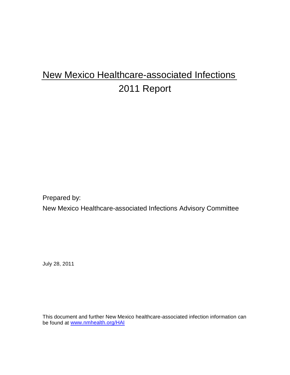# New Mexico Healthcare-associated Infections 2011 Report

Prepared by:

New Mexico Healthcare-associated Infections Advisory Committee

July 28, 2011

This document and further New Mexico healthcare-associated infection information can be found at [www.nmhealth.org/HAI](http://www.nmhealth.org/HAI)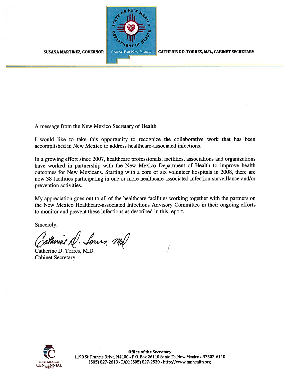

CATHERINE D. TORRES, M.D., CABINET SECRETARY

**SUSANA MARTINEZ, GOVERNOR** 

A message from the New Mexico Secretary of Health

I would like to take this opportunity to recognize the collaborative work that has been accomplished in New Mexico to address healthcare-associated infections.

In a growing effort since 2007, healthcare professionals, facilities, associations and organizations have worked in partnership with the New Mexico Department of Health to improve health outcomes for New Mexicans. Starting with a core of six volunteer hospitals in 2008, there are now 38 facilities participating in one or more healthcare-associated infection surveillance and/or prevention activities.

My appreciation goes out to all of the healthcare facilities working together with the partners on the New Mexico Healthcare-associated Infections Advisory Committee in their ongoing efforts to monitor and prevent these infections as described in this report.

Sincerely,

Zatherine A. Sows, Mal

Catherine D. Torres, M.D. **Cabinet Secretary** 



Office of the Secretary 1190 St. Francis Drive, N4100 . P.O. Box 26110 Santa Fe, New Mexico . 87502-6110 (505) 827-2613 · FAX: (505) 827-2530 · http://www.nmhealth.org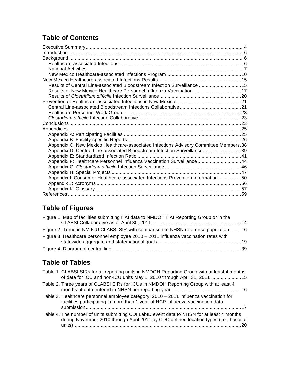# **Table of Contents**

| Results of Central Line-associated Bloodstream Infection Surveillance  15             |  |
|---------------------------------------------------------------------------------------|--|
| Results of New Mexico Healthcare Personnel Influenza Vaccination 17                   |  |
|                                                                                       |  |
|                                                                                       |  |
|                                                                                       |  |
|                                                                                       |  |
|                                                                                       |  |
|                                                                                       |  |
|                                                                                       |  |
|                                                                                       |  |
|                                                                                       |  |
| Appendix C: New Mexico Healthcare-associated Infections Advisory Committee Members.38 |  |
| Appendix D: Central Line-associated Bloodstream Infection Surveillance39              |  |
|                                                                                       |  |
| Appendix F: Healthcare Personnel Influenza Vaccination Surveillance44                 |  |
|                                                                                       |  |
|                                                                                       |  |
| Appendix I: Consumer Healthcare-associated Infections Prevention Information50        |  |
|                                                                                       |  |
|                                                                                       |  |
|                                                                                       |  |

# **Table of Figures**

| Figure 1. Map of facilities submitting HAI data to NMDOH HAI Reporting Group or in the |  |
|----------------------------------------------------------------------------------------|--|
|                                                                                        |  |
| Figure 2. Trend in NM ICU CLABSI SIR with comparison to NHSN reference population 16   |  |
| Figure 3. Healthcare personnel employee 2010 - 2011 influenza vaccination rates with   |  |
|                                                                                        |  |
|                                                                                        |  |

# **Table of Tables**

| Table 1. CLABSI SIRs for all reporting units in NMDOH Reporting Group with at least 4 months<br>of data for ICU and non-ICU units May 1, 2010 through April 31, 2011 15             |
|-------------------------------------------------------------------------------------------------------------------------------------------------------------------------------------|
| Table 2. Three years of CLABSI SIRs for ICUs in NMDOH Reporting Group with at least 4                                                                                               |
| Table 3. Healthcare personnel employee category: 2010 - 2011 influenza vaccination for<br>facilities participating in more than 1 year of HCP influenza vaccination data<br>- 17    |
| Table 4. The number of units submitting CDI LabID event data to NHSN for at least 4 months<br>during November 2010 through April 2011 by CDC defined location types (i.e., hospital |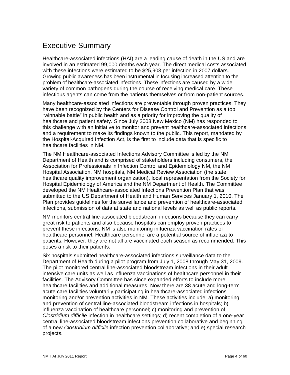# <span id="page-3-0"></span>Executive Summary

Healthcare-associated infections (HAI) are a leading cause of death in the US and are involved in an estimated 99,000 deaths each year. The direct medical costs associated with these infections were estimated to be \$25,903 per infection in 2007 dollars. Growing public awareness has been instrumental in focusing increased attention to the problem of healthcare-associated infections. These infections are caused by a wide variety of common pathogens during the course of receiving medical care. These infectious agents can come from the patients themselves or from non-patient sources.

Many healthcare-associated infections are preventable through proven practices. They have been recognized by the Centers for Disease Control and Prevention as a top "winnable battle" in public health and as a priority for improving the quality of healthcare and patient safety. Since July 2008 New Mexico (NM) has responded to this challenge with an initiative to monitor and prevent healthcare-associated infections and a requirement to make its findings known to the public. This report, mandated by the Hospital-Acquired Infection Act, is the first to include data that is specific to healthcare facilities in NM.

The NM Healthcare-associated Infections Advisory Committee is led by the NM Department of Health and is comprised of stakeholders including consumers, the Association for Professionals in Infection Control and Epidemiology NM, the NM Hospital Association, NM hospitals, NM Medical Review Association (the state healthcare quality improvement organization), local representation from the Society for Hospital Epidemiology of America and the NM Department of Health. The Committee developed the NM Healthcare-associated Infections Prevention Plan that was submitted to the US Department of Health and Human Services January 1, 2010. The Plan provides guidelines for the surveillance and prevention of healthcare-associated infections, submission of data at state and national levels as well as public reports.

NM monitors central line-associated bloodstream infections because they can carry great risk to patients and also because hospitals can employ proven practices to prevent these infections. NM is also monitoring influenza vaccination rates of healthcare personnel. Healthcare personnel are a potential source of influenza to patients. However, they are not all are vaccinated each season as recommended. This poses a risk to their patients.

Six hospitals submitted healthcare-associated infections surveillance data to the Department of Health during a pilot program from July 1, 2008 through May 31, 2009. The pilot monitored central line-associated bloodstream infections in their adult intensive care units as well as influenza vaccinations of healthcare personnel in their facilities. The Advisory Committee has since expanded efforts to include more healthcare facilities and additional measures. Now there are 38 acute and long-term acute care facilities voluntarily participating in healthcare-associated infections monitoring and/or prevention activities in NM. These activities include: a) monitoring and prevention of central line-associated bloodstream infections in hospitals; b) influenza vaccination of healthcare personnel; c) monitoring and prevention of *Clostridium difficile* infection in healthcare settings; d) recent completion of a one-year central line-associated bloodstream infections prevention collaborative and beginning of a new *Clostridium difficile* infection prevention collaborative; and e) special research projects.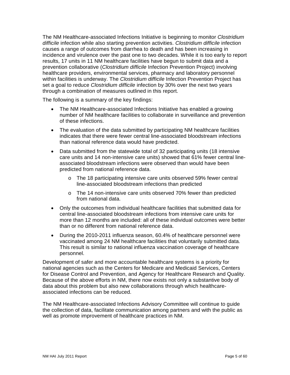The NM Healthcare-associated Infections Initiative is beginning to monitor *Clostridium difficile* infection while also starting prevention activities. *Clostridium difficile* infection causes a range of outcomes from diarrhea to death and has been increasing in incidence and virulence over the past one to two decades. While it is too early to report results, 17 units in 11 NM healthcare facilities have begun to submit data and a prevention collaborative (*Clostridium difficile* Infection Prevention Project) involving healthcare providers, environmental services, pharmacy and laboratory personnel within facilities is underway. The *Clostridium difficile* Infection Prevention Project has set a goal to reduce *Clostridium difficile* infection by 30% over the next two years through a combination of measures outlined in this report.

The following is a summary of the key findings:

- The NM Healthcare-associated Infections Initiative has enabled a growing number of NM healthcare facilities to collaborate in surveillance and prevention of these infections.
- The evaluation of the data submitted by participating NM healthcare facilities indicates that there were fewer central line-associated bloodstream infections than national reference data would have predicted.
- Data submitted from the statewide total of 32 participating units (18 intensive care units and 14 non-intensive care units) showed that 61% fewer central lineassociated bloodstream infections were observed than would have been predicted from national reference data.
	- o The 18 participating intensive care units observed 59% fewer central line-associated bloodstream infections than predicted
	- o The 14 non-intensive care units observed 70% fewer than predicted from national data.
- Only the outcomes from individual healthcare facilities that submitted data for central line-associated bloodstream infections from intensive care units for more than 12 months are included: all of these individual outcomes were better than or no different from national reference data.
- During the 2010-2011 influenza season, 60.4% of healthcare personnel were vaccinated among 24 NM healthcare facilities that voluntarily submitted data. This result is similar to national influenza vaccination coverage of healthcare personnel.

Development of safer and more accountable healthcare systems is a priority for national agencies such as the Centers for Medicare and Medicaid Services, Centers for Disease Control and Prevention, and Agency for Healthcare Research and Quality. Because of the above efforts in NM, there now exists not only a substantive body of data about this problem but also new collaborations through which healthcareassociated infections can be reduced.

The NM Healthcare-associated Infections Advisory Committee will continue to guide the collection of data, facilitate communication among partners and with the public as well as promote improvement of healthcare practices in NM.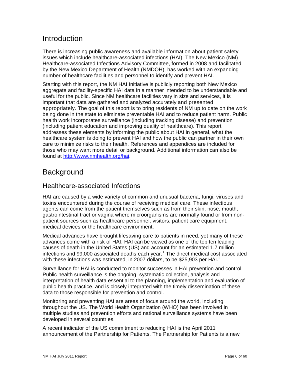# <span id="page-5-0"></span>**Introduction**

There is increasing public awareness and available information about patient safety issues which include healthcare-associated infections (HAI). The New Mexico (NM) Healthcare-associated Infections Advisory Committee, formed in 2008 and facilitated by the New Mexico Department of Health (NMDOH), has worked with an expanding number of healthcare facilities and personnel to identify and prevent HAI.

Starting with this report, the NM HAI Initiative is publicly reporting both New Mexico aggregate and facility-specific HAI data in a manner intended to be understandable and useful for the public. Since NM healthcare facilities vary in size and services, it is important that data are gathered and analyzed accurately and presented appropriately. The goal of this report is to bring residents of NM up to date on the work being done in the state to eliminate preventable HAI and to reduce patient harm. Public health work incorporates surveillance (including tracking disease) and prevention (including patient education and improving quality of healthcare). This report addresses these elements by informing the public about HAI in general, what the healthcare system is doing to prevent HAI and how the public can partner in their own care to minimize risks to their health. References and appendices are included for those who may want more detail or background. Additional information can also be found at [http://www.nmhealth.org/hai.](http://www.nmhealth.org/hai)

# <span id="page-5-1"></span>**Background**

## <span id="page-5-2"></span>Healthcare-associated Infections

HAI are caused by a wide variety of common and unusual bacteria, fungi, viruses and toxins encountered during the course of receiving medical care. These infectious agents can come from the patient themselves such as from their skin, nose, mouth, gastrointestinal tract or vagina where microorganisms are normally found or from nonpatient sources such as healthcare personnel, visitors, patient care equipment, medical devices or the healthcare environment.

Medical advances have brought lifesaving care to patients in need, yet many of these advances come with a risk of HAI. HAI can be viewed as one of the top ten leading causes of death in the United States (US) and account for an estimated 1.7 million infections and 99,000 associated deaths each year.<sup>[1](#page-58-1)</sup> The direct medical cost associated with these infections was estimated, in [2](#page-58-2)007 dollars, to be \$25,903 per HAI.<sup>2</sup>

Surveillance for HAI is conducted to monitor successes in HAI prevention and control. Public health surveillance is the ongoing, systematic collection, analysis and interpretation of health data essential to the planning, implementation and evaluation of public health practice, and is closely integrated with the timely dissemination of these data to those responsible for prevention and control.

Monitoring and preventing HAI are areas of focus around the world, including throughout the US. The World Health Organization (WHO) has been involved in multiple studies and prevention efforts and national surveillance systems have been developed in several countries.

A recent indicator of the US commitment to reducing HAI is the April 2011 announcement of the Partnership for Patients. The Partnership for Patients is a new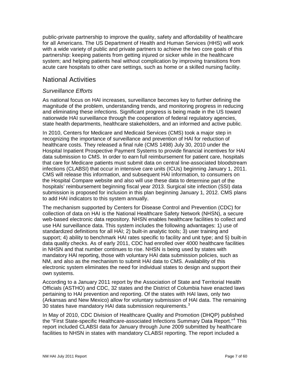public-private partnership to improve the quality, safety and affordability of healthcare for all Americans. The US Department of Health and Human Services (HHS) will work with a wide variety of public and private partners to achieve the two core goals of this partnership: keeping patients from getting injured or sicker while in the healthcare system; and helping patients heal without complication by improving transitions from acute care hospitals to other care settings, such as home or a skilled nursing facility.

## <span id="page-6-0"></span>National Activities

## *Surveillance Efforts*

As national focus on HAI increases, surveillance becomes key to further defining the magnitude of the problem, understanding trends, and monitoring progress in reducing and eliminating these infections. Significant progress is being made in the US toward nationwide HAI surveillance through the cooperation of federal regulatory agencies, state health departments, healthcare stakeholders, and an informed and active public.

In 2010, Centers for Medicare and Medicaid Services (CMS) took a major step in recognizing the importance of surveillance and prevention of HAI for reduction of healthcare costs. They released a final rule (CMS 1498) July 30, 2010 under the Hospital Inpatient Prospective Payment Systems to provide financial incentives for HAI data submission to CMS. In order to earn full reimbursement for patient care, hospitals that care for Medicare patients must submit data on central line-associated bloodstream infections (CLABSI) that occur in intensive care units (ICUs) beginning January 1, 2011. CMS will release this information, and subsequent HAI information, to consumers on the Hospital Compare website and also will use these data to determine part of the hospitals' reimbursement beginning fiscal year 2013. Surgical site infection (SSI) data submission is proposed for inclusion in this plan beginning January 1, 2012. CMS plans to add HAI indicators to this system annually.

The mechanism supported by Centers for Disease Control and Prevention (CDC) for collection of data on HAI is the National Healthcare Safety Network (NHSN), a secure web-based electronic data repository. NHSN enables healthcare facilities to collect and use HAI surveillance data. This system includes the following advantages: 1) use of standardized definitions for all HAI; 2) built-in analytic tools; 3) user training and support; 4) ability to benchmark HAI rates specific to facility and unit type; and 5) built-in data quality checks. As of early 2011, CDC had enrolled over 4000 healthcare facilities in NHSN and that number continues to rise. NHSN is being used by states with mandatory HAI reporting, those with voluntary HAI data submission policies, such as NM, and also as the mechanism to submit HAI data to CMS. Availability of this electronic system eliminates the need for individual states to design and support their own systems.

According to a January 2011 report by the Association of State and Territorial Health Officials (ASTHO) and CDC, 32 states and the District of Columbia have enacted laws pertaining to HAI prevention and reporting. Of the states with HAI laws, only two (Arkansas and New Mexico) allow for voluntary submission of HAI data. The remaining [3](#page-58-3)0 states have mandatory HAI data submission requirements.<sup>3</sup>

In May of 2010, CDC Division of Healthcare Quality and Promotion (DHQP) published the "First State-specific Healthcare-associated Infections Summary Data Report."<sup>[4](#page-58-4)</sup> This report included CLABSI data for January through June 2009 submitted by healthcare facilities to NHSN in states with mandatory CLABSI reporting. The report included a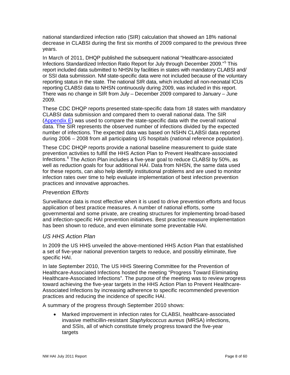national standardized infection ratio (SIR) calculation that showed an 18% national decrease in CLABSI during the first six months of 2009 compared to the previous three years.

In March of 2011, DHQP published the subsequent national "Healthcare-associated Infections Standardized Infection Ratio Report for July through December 2009." [5](#page-59-0) This report included data submitted to NHSN by facilities in states with mandatory CLABSI and/ or SSI data submission. NM state-specific data were not included because of the voluntary reporting status in the state. The national SIR data, which included all non-neonatal ICUs reporting CLABSI data to NHSN continuously during 2009, was included in this report. There was no change in SIR from July – December 2009 compared to January – June 2009.

These CDC DHQP reports presented state-specific data from 18 states with mandatory CLABSI data submission and compared them to overall national data. The SIR [\(Appendix E\)](#page-40-0) was used to compare the state-specific data with the overall national data. The SIR represents the observed number of infections divided by the expected number of infections. The expected data was based on NSHN CLABSI data reported during 2006 – 2008 from all participating US hospitals (national reference population).

These CDC DHQP reports provide a national baseline measurement to guide state prevention activities to fulfill the HHS Action Plan to Prevent Healthcare-associated Infections.<sup>[6](#page-59-1)</sup> The Action Plan includes a five-year goal to reduce CLABSI by 50%, as well as reduction goals for four additional HAI. Data from NHSN, the same data used for these reports, can also help identify institutional problems and are used to monitor infection rates over time to help evaluate implementation of best infection prevention practices and innovative approaches.

## *Prevention Efforts*

Surveillance data is most effective when it is used to drive prevention efforts and focus application of best practice measures. A number of national efforts, some governmental and some private, are creating structures for implementing broad-based and infection-specific HAI prevention initiatives. Best practice measure implementation has been shown to reduce, and even eliminate some preventable HAI.

## *US HHS Action Plan*

In 2009 the US HHS unveiled the above-mentioned HHS Action Plan that established a set of five-year national prevention targets to reduce, and possibly eliminate, five specific HAI.

In late September 2010, The US HHS Steering Committee for the Prevention of Healthcare-Associated Infections hosted the meeting "Progress Toward Eliminating Healthcare-Associated Infections". The purpose of the meeting was to review progress toward achieving the five-year targets in the HHS Action Plan to Prevent Healthcare-Associated Infections by increasing adherence to specific recommended prevention practices and reducing the incidence of specific HAI.

A summary of the progress through September 2010 shows:

• Marked improvement in infection rates for CLABSI, healthcare-associated invasive methicillin-resistant *Staphylococcus aureus* (MRSA) infections, and SSIs, all of which constitute timely progress toward the five-year targets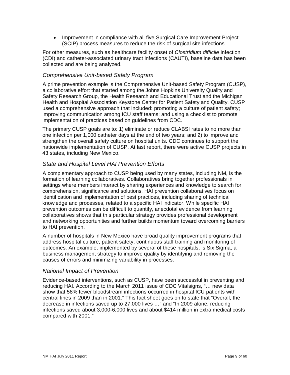• Improvement in compliance with all five Surgical Care Improvement Project (SCIP) process measures to reduce the risk of surgical site infections

For other measures, such as healthcare facility onset of *Clostridium difficile* infection (CDI) and catheter-associated urinary tract infections (CAUTI), baseline data has been collected and are being analyzed.

## *Comprehensive Unit-based Safety Program*

A prime prevention example is the Comprehensive Unit-based Safety Program (CUSP), a collaborative effort that started among the Johns Hopkins University Quality and Safety Research Group, the Health Research and Educational Trust and the Michigan Health and Hospital Association Keystone Center for Patient Safety and Quality. CUSP used a comprehensive approach that included: promoting a culture of patient safety; improving communication among ICU staff teams; and using a checklist to promote implementation of practices based on guidelines from CDC.

The primary CUSP goals are to: 1) eliminate or reduce CLABSI rates to no more than one infection per 1,000 catheter days at the end of two years; and 2) to improve and strengthen the overall safety culture on hospital units. CDC continues to support the nationwide implementation of CUSP. At last report, there were active CUSP projects in 43 states, including New Mexico.

## *State and Hospital Level HAI Prevention Efforts*

A complementary approach to CUSP being used by many states, including NM, is the formation of learning collaboratives. Collaboratives bring together professionals in settings where members interact by sharing experiences and knowledge to search for comprehension, significance and solutions. HAI prevention collaboratives focus on identification and implementation of best practices, including sharing of technical knowledge and processes, related to a specific HAI indicator. While specific HAI prevention outcomes can be difficult to quantify, anecdotal evidence from learning collaboratives shows that this particular strategy provides professional development and networking opportunities and further builds momentum toward overcoming barriers to HAI prevention.

A number of hospitals in New Mexico have broad quality improvement programs that address hospital culture, patient safety, continuous staff training and monitoring of outcomes. An example, implemented by several of these hospitals, is Six Sigma, a business management strategy to improve quality by identifying and removing the causes of errors and minimizing [variability](http://en.wikipedia.org/wiki/Statistical_dispersion) in processes.

## *National Impact of Prevention*

Evidence-based interventions, such as CUSP, have been successful in preventing and reducing HAI. According to the March 2011 issue of CDC Vitalsigns, "… new data show that 58% fewer bloodstream infections occurred in hospital ICU patients with central lines in 2009 than in 2001." This fact sheet goes on to state that "Overall, the decrease in infections saved up to 27,000 lives …" and "In 2009 alone, reducing infections saved about 3,000-6,000 lives and about \$414 million in extra medical costs compared with 2001."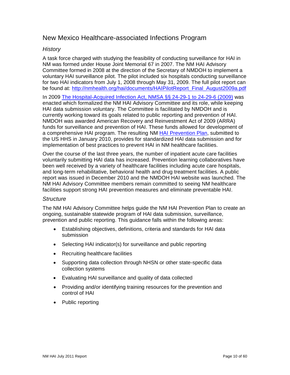## <span id="page-9-0"></span>New Mexico Healthcare-associated Infections Program

## *History*

A task force charged with studying the feasibility of conducting surveillance for HAI in NM was formed under House Joint Memorial 67 in 2007. The NM HAI Advisory Committee formed in 2008 at the direction of the Secretary of NMDOH to implement a voluntary HAI surveillance pilot. The pilot included six hospitals conducting surveillance for two HAI indicators from July 1, 2008 through May 31, 2009. The full pilot report can be found at: [http://nmhealth.org/hai/documents/HAIPilotReport\\_Final\\_August2009a.pdf](http://nmhealth.org/hai/documents/HAIPilotReport_Final_August2009a.pdf)

In 2009 [The Hospital-Acquired Infection Act, NMSA §§ 24-29-1 to 24-29-6 \(2009\)](http://nmhealth.org/HAI/documents/HAIStatute.pdf) was enacted which formalized the NM HAI Advisory Committee and its role, while keeping HAI data submission voluntary. The Committee is facilitated by NMDOH and is currently working toward its goals related to public reporting and prevention of HAI. NMDOH was awarded American Recovery and Reinvestment Act of 2009 (ARRA) funds for surveillance and prevention of HAI. These funds allowed for development of a comprehensive HAI program. The resulting NM [HAI Prevention Plan,](http://nmhealth.org/HAI/documents/NMHAIPreventionPlan.pdf) submitted to the US HHS in January 2010, provides for standardized HAI data submission and for implementation of best practices to prevent HAI in NM healthcare facilities.

Over the course of the last three years, the number of inpatient acute care facilities voluntarily submitting HAI data has increased. Prevention learning collaboratives have been well received by a variety of healthcare facilities including acute care hospitals, and long-term rehabilitative, behavioral health and drug treatment facilities. A public report was issued in December 2010 and the NMDOH HAI website was launched. The NM HAI Advisory Committee members remain committed to seeing NM healthcare facilities support strong HAI prevention measures and eliminate preventable HAI.

## *Structure*

The NM HAI Advisory Committee helps guide the NM HAI Prevention Plan to create an ongoing, sustainable statewide program of HAI data submission, surveillance, prevention and public reporting. This guidance falls within the following areas:

- Establishing objectives, definitions, criteria and standards for HAI data submission
- Selecting HAI indicator(s) for surveillance and public reporting
- Recruiting healthcare facilities
- Supporting data collection through NHSN or other state-specific data collection systems
- Evaluating HAI surveillance and quality of data collected
- Providing and/or identifying training resources for the prevention and control of HAI
- Public reporting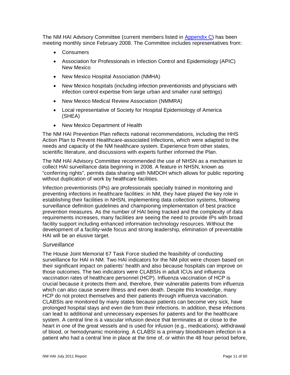The NM HAI Advisory Committee (current members listed in [Appendix](#page-37-0) C) has been meeting monthly since February 2008. The Committee includes representatives from:

- Consumers
- Association for Professionals in Infection Control and Epidemiology (APIC) New Mexico
- New Mexico Hospital Association (NMHA)
- New Mexico hospitals (including infection preventionists and physicians with infection control expertise from large urban and smaller rural settings)
- New Mexico Medical Review Association (NMMRA)
- Local representative of Society for Hospital Epidemiology of America (SHEA)
- New Mexico Department of Health

The NM HAI Prevention Plan reflects national recommendations, including the HHS Action Plan to Prevent Healthcare-associated Infections, which were adapted to the needs and capacity of the NM healthcare system. Experience from other states, scientific literature, and discussions with experts further informed the Plan.

The NM HAI Advisory Committee recommended the use of NHSN as a mechanism to collect HAI surveillance data beginning in 2008. A feature in NHSN, known as "conferring rights", permits data sharing with NMDOH which allows for public reporting without duplication of work by healthcare facilities.

Infection preventionists (IPs) are professionals specially trained in monitoring and preventing infections in healthcare facilities: in NM, they have played the key role in establishing their facilities in NHSN, implementing data collection systems, following surveillance definition guidelines and championing implementation of best practice prevention measures. As the number of HAI being tracked and the complexity of data requirements increases, many facilities are seeing the need to provide IPs with broad facility support including enhanced information technology resources. Without the development of a facility-wide focus and strong leadership, elimination of preventable HAI will be an elusive target.

## *Surveillance*

The House Joint Memorial 67 Task Force studied the feasibility of conducting surveillance for HAI in NM. Two HAI indicators for the NM pilot were chosen based on their significant impact on patients' health and also because hospitals can improve on those outcomes. The two indicators were CLABSIs in adult ICUs and influenza vaccination rates of healthcare personnel (HCP). Influenza vaccination of HCP is crucial because it protects them and, therefore, their vulnerable patients from influenza which can also cause severe illness and even death. Despite this knowledge, many HCP do not protect themselves and their patients through influenza vaccination. CLABSIs are monitored by many states because patients can become very sick, have prolonged hospital stays and even die from their infections. In addition, these infections can lead to additional and unnecessary expenses for patients and for the healthcare system. A central line is a vascular infusion device that terminates at or close to the heart in one of the great vessels and is used for infusion (e.g., medications), withdrawal of blood, or hemodynamic monitoring. A CLABSI is a primary bloodstream infection in a patient who had a central line in place at the time of, or within the 48 hour period before,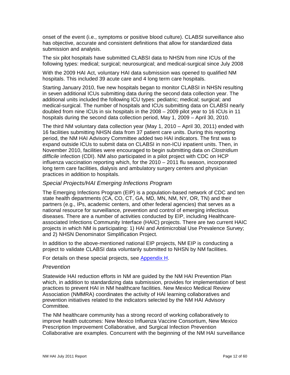onset of the event (i.e., symptoms or positive blood culture). CLABSI surveillance also has objective, accurate and consistent definitions that allow for standardized data submission and analysis.

The six pilot hospitals have submitted CLABSI data to NHSN from nine ICUs of the following types: medical; surgical; neurosurgical; and medical-surgical since July 2008

With the 2009 HAI Act, voluntary HAI data submission was opened to qualified NM hospitals. This included 39 acute care and 4 long term care hospitals.

Starting January 2010, five new hospitals began to monitor CLABSI in NHSN resulting in seven additional ICUs submitting data during the second data collection year. The additional units included the following ICU types: pediatric; medical; surgical; and medical-surgical. The number of hospitals and ICUs submitting data on CLABSI nearly doubled from nine ICUs in six hospitals in the 2008 – 2009 pilot year to 16 ICUs in 11 hospitals during the second data collection period, May 1, 2009 – April 30, 2010.

The third NM voluntary data collection year (May 1, 2010 – April 30, 2011) ended with 16 facilities submitting NHSN data from 37 patient care units. During this reporting period, the NM HAI Advisory Committee added two HAI indicators. The first was to expand outside ICUs to submit data on CLABSI in non-ICU inpatient units. Then, in November 2010, facilities were encouraged to begin submitting data on *Clostridium difficile* infection (CDI). NM also participated in a pilot project with CDC on HCP influenza vaccination reporting which, for the 2010 – 2011 flu season, incorporated long term care facilities, dialysis and ambulatory surgery centers and physician practices in addition to hospitals.

## *Special Projects/HAI Emerging Infections Program*

The Emerging Infections Program (EIP) is a population-based network of CDC and ten state health departments (CA, CO, CT, GA, MD, MN, NM, NY, OR, TN) and their partners (e.g., IPs, academic centers, and other federal agencies) that serves as a national resource for surveillance, prevention and control of emerging infectious diseases. There are a number of activities conducted by EIP, including Healthcareassociated Infections Community Interface (HAIC) projects. There are two current HAIC projects in which NM is participating: 1) HAI and Antimicrobial Use Prevalence Survey; and 2) NHSN Denominator Simplification Project.

In addition to the above-mentioned national EIP projects, NM EIP is conducting a project to validate CLABSI data voluntarily submitted to NHSN by NM facilities.

For details on these special projects, see [Appendix H.](#page-46-0)

#### *Prevention*

Statewide HAI reduction efforts in NM are guided by the NM HAI Prevention Plan which, in addition to standardizing data submission, provides for implementation of best practices to prevent HAI in NM healthcare facilities. New Mexico Medical Review Association (NMMRA) coordinates the activity of HAI learning collaboratives and prevention initiatives related to the indicators selected by the NM HAI Advisory Committee.

The NM healthcare community has a strong record of working collaboratively to improve health outcomes: New Mexico Influenza Vaccine Consortium, New Mexico Prescription Improvement Collaborative, and Surgical Infection Prevention Collaborative are examples. Concurrent with the beginning of the NM HAI surveillance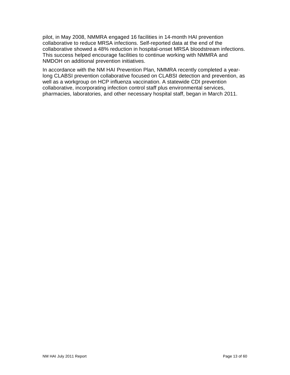pilot, in May 2008, NMMRA engaged 16 facilities in 14-month HAI prevention collaborative to reduce MRSA infections. Self-reported data at the end of the collaborative showed a 48% reduction in hospital-onset MRSA bloodstream infections. This success helped encourage facilities to continue working with NMMRA and NMDOH on additional prevention initiatives.

In accordance with the NM HAI Prevention Plan, NMMRA recently completed a yearlong CLABSI prevention collaborative focused on CLABSI detection and prevention, as well as a workgroup on HCP influenza vaccination. A statewide CDI prevention collaborative, incorporating infection control staff plus environmental services, pharmacies, laboratories, and other necessary hospital staff, began in March 2011.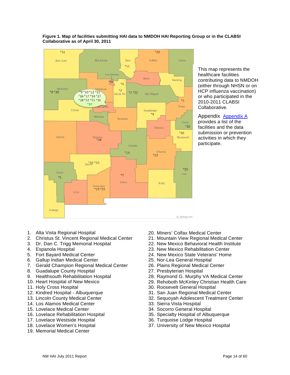

#### <span id="page-13-0"></span>**Figure 1. Map of facilities submitting HAI data to NMDOH HAI Reporting Group or in the CLABSI Collaborative as of April 30, 2011**

This map represents the healthcare facilities contributing data to NMDOH (either through NHSN or on HCP influenza vaccination) or who participated in the 2010-2011 CLABSI Collaborative.

[Appendix Appendix A](#page-24-1) provides a list of the facilities and the data submission or prevention activities in which they participate.

- 1. Alta Vista Regional Hospital
- 2. Christus St. Vincent Regional Medical Center
- 3. Dr. Dan C. Trigg Memorial Hospital
- 4. Espanola Hospital
- 5. Fort Bayard Medical Center
- 6. Gallup Indian Medical Center
- 7. Gerald Champion Regional Medical Center
- 8. Guadalupe County Hospital
- 9. Healthsouth Rehabilitation Hospital
- 10. Heart Hospital of New Mexico
- 11. Holy Cross Hospital
- 12. Kindred Hospital Albuquerque
- 13. Lincoln County Medical Center
- 14. Los Alamos Medical Center
- 15. Lovelace Medical Center
- 16. Lovelace Rehabilitation Hospital
- 17. Lovelace Westside Hospital
- 18. Lovelace Women's Hospital
- 19. Memorial Medical Center
- 20. Miners' Colfax Medical Center
- 21. Mountain View Regional Medical Center
- 22. New Mexico Behavioral Health Institute
- 23. New Mexico Rehabilitation Center
- 24. New Mexico State Veterans' Home
- 25. Nor-Lea General Hospital
- 26. Plains Regional Medical Center
- 27. Presbyterian Hospital
- 28. Raymond G. Murphy VA Medical Center
- 29. Rehoboth McKinley Christian Health Care
- 30. Roosevelt General Hospital
- 31. San Juan Regional Medical Center
- 32. Sequoyah Adolescent Treatment Center
- 33. Sierra Vista Hospital
- 34. Socorro General Hospital
- 35. Specialty Hospital of Albuquerque
- 36. Turquoise Lodge Hospital
- 37. University of New Mexico Hospital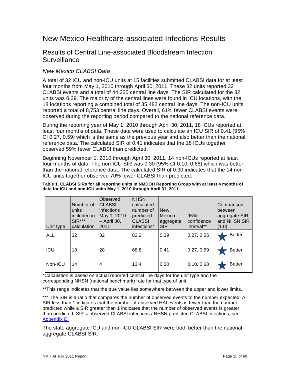# <span id="page-14-0"></span>New Mexico Healthcare-associated Infections Results

## <span id="page-14-1"></span>Results of Central Line-associated Bloodstream Infection **Surveillance**

## *New Mexico CLABSI Data*

A total of 32 ICU and non-ICU units at 15 facilities submitted CLABSI data for at least four months from May 1, 2010 through April 30, 2011. These 32 units reported 32 CLABSI events and a total of 44,235 central line days. The SIR calculated for the 32 units was 0.39. The majority of the central lines were found in ICU locations, with the 18 locations reporting a combined total of 35,482 central line days. The non-ICU units reported a total of 8,753 central line days. Overall, 61% fewer CLABSI events were observed during the reporting period compared to the national reference data.

During the reporting year of May 1, 2010 through April 30, 2011, 18 ICUs reported at least four months of data. These data were used to calculate an ICU SIR of 0.41 (95% CI 0.27, 0.59*)* which is the same as the previous year and also better than the national reference data. The calculated SIR of 0.41 indicates that the 18 ICUs together observed 59% fewer CLABSI than predicted.

Beginning November 1, 2010 through April 30, 2011, 14 non-ICUs reported at least four months of data. The non-ICU SIR was 0.30 (95% CI 0.10, 0.68) which was better than the national reference data. The calculated SIR of 0.30 indicates that the 14 non-ICU units together observed 70% fewer CLABSI than predicted.

#### <span id="page-14-2"></span>**Table 1. CLABSI SIRs for all reporting units in NMDOH Reporting Group with at least 4 months of data for ICU and non-ICU units May 1, 2010 through April 31, 2011**

| Unit type  | Number of<br>units<br>included in<br>$SIR***$<br>calculation | Observed<br><b>CLABSI</b><br>infections<br>May 1, 2010<br>$-$ April 30,<br>2011 | <b>NHSN</b><br>calculated<br>number of<br>predicted<br><b>CLABSI</b><br>infections* | <b>New</b><br>Mexico<br>aggregate<br><b>SIR</b> | 95%<br>confidence<br>interval** | Comparison<br>between<br>aggregate SIR<br>and NHSN SIR<br>(1.0) |
|------------|--------------------------------------------------------------|---------------------------------------------------------------------------------|-------------------------------------------------------------------------------------|-------------------------------------------------|---------------------------------|-----------------------------------------------------------------|
| <b>ALL</b> | 32                                                           | 32                                                                              | 82.2                                                                                | 0.39                                            | 0.27, 0.55                      | <b>Better</b>                                                   |
| ICU        | 18                                                           | 28                                                                              | 68.8                                                                                | 0.41                                            | 0.27, 0.59                      | <b>Better</b>                                                   |
| Non-ICU    | 14                                                           | 4                                                                               | 13.4                                                                                | 0.30                                            | 0.10, 0.68                      | <b>Better</b>                                                   |

\*Calculation is based on actual reported central line days for the unit type and the corresponding NHSN (national benchmark) rate for that type of unit.

\*\*This range indicates that the true value lies somewhere between the upper and lower limits.

\*\*\* The SIR is a ratio that compares the number of observed events to the number expected. A SIR less than 1 indicates that the number of observed HAI events is fewer than the number predicted while a SIR greater than 1 indicates that the number of observed events is greater than predicted. SIR = observed CLABSI infections / NHSN predicted CLABSI infections, see [Appendix E.](#page-40-0)

The state aggregate ICU and non-ICU CLABSI SIR were both better than the national aggregate CLABSI SIR.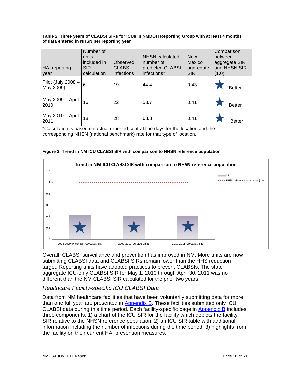#### <span id="page-15-1"></span>**Table 2. Three years of CLABSI SIRs for ICUs in NMDOH Reporting Group with at least 4 months of data entered in NHSN per reporting year**

| <b>HAI</b> reporting<br>year        | Number of<br>units<br>included in<br><b>SIR</b><br>calculation | Observed<br><b>CLABSI</b><br>infections | <b>NHSN</b> calculated<br>number of<br>predicted CLABSI<br>infections* | <b>New</b><br>Mexico<br>aggregate<br><b>SIR</b> | Comparison<br>between<br>aggregate SIR<br>and NHSN SIR<br>(1.0) |
|-------------------------------------|----------------------------------------------------------------|-----------------------------------------|------------------------------------------------------------------------|-------------------------------------------------|-----------------------------------------------------------------|
| Pilot (July 2008 $-$  <br>May 2009) | 6                                                              | 19                                      | 44.4                                                                   | 0.43                                            | <b>Better</b>                                                   |
| May 2009 - April<br>2010            | 16                                                             | 22                                      | 53.7                                                                   | 0.41                                            | <b>Better</b>                                                   |
| May 2010 - April  <br>2011          | 18                                                             | 28                                      | 68.8                                                                   | 0.41                                            | <b>Better</b>                                                   |

\*Calculation is based on actual reported central line days for the location and the corresponding NHSN (national benchmark) rate for that type of location.



<span id="page-15-0"></span>**Figure 2. Trend in NM ICU CLABSI SIR with comparison to NHSN reference population**

Overall, CLABSI surveillance and prevention has improved in NM. More units are now submitting CLABSI data and CLABSI SIRs remain lower than the HHS reduction target. Reporting units have adopted practices to prevent CLABSIs. The state aggregate ICU-only CLABSI SIR for May 1, 2010 through April 30, 2011 was no different than the NM CLABSI SIR calculated for the prior two years.

## *Healthcare Facility-specific ICU CLABSI Data*

Data from NM healthcare facilities that have been voluntarily submitting data for more than one full year are presented in [Appendix B.](#page-25-0) These facilities submitted only ICU CLABSI data during this time period. Each facility-specific page in [Appendix B](#page-25-0) includes three components: 1) a chart of the ICU SIR for the facility which depicts the facility SIR relative to the NHSN reference population; 2) an ICU SIR table with additional information including the number of infections during the time period; 3) highlights from the facility on their current HAI prevention measures.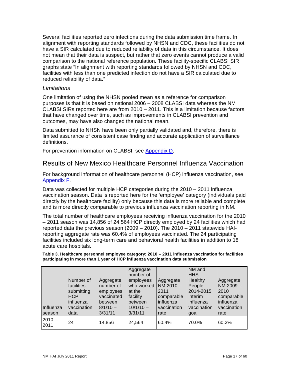Several facilities reported zero infections during the data submission time frame. In alignment with reporting standards followed by NHSN and CDC, these facilities do not have a SIR calculated due to reduced reliability of data in this circumstance. It does not mean that their data is suspect, but rather that zero events cannot produce a valid comparison to the national reference population. These facility-specific CLABSI SIR graphs state "In alignment with reporting standards followed by NHSN and CDC, facilities with less than one predicted infection do not have a SIR calculated due to reduced reliability of data."

#### *Limitations*

One limitation of using the NHSN pooled mean as a reference for comparison purposes is that it is based on national 2006 – 2008 CLABSI data whereas the NM CLABSI SIRs reported here are from 2010 – 2011. This is a limitation because factors that have changed over time, such as improvements in CLABSI prevention and outcomes, may have also changed the national mean.

Data submitted to NHSN have been only partially validated and, therefore, there is limited assurance of consistent case finding and accurate application of surveillance definitions.

For prevention information on CLABSI, see [Appendix D.](#page-38-0)

## <span id="page-16-0"></span>Results of New Mexico Healthcare Personnel Influenza Vaccination

For background information of healthcare personnel (HCP) influenza vaccination, see [Appendix F.](#page-43-0)

Data was collected for multiple HCP categories during the 2010 – 2011 influenza vaccination season. Data is reported here for the 'employee' category (individuals paid directly by the healthcare facility) only because this data is more reliable and complete and is more directly comparable to previous influenza vaccination reporting in NM.

The total number of healthcare employees receiving influenza vaccination for the 2010 – 2011 season was 14,856 of 24,564 HCP directly employed by 24 facilities which had reported data the previous season (2009 – 2010). The 2010 – 2011 statewide HAIreporting aggregate rate was 60.4% of employees vaccinated. The 24 participating facilities included six long-term care and behavioral health facilities in addition to 18 acute care hospitals.

<span id="page-16-1"></span>**Table 3. Healthcare personnel employee category: 2010 – 2011 influenza vaccination for facilities participating in more than 1 year of HCP influenza vaccination data submission**

| Influenza<br>season | Number of<br>facilities<br>submitting<br><b>HCP</b><br>influenza<br>vaccination<br>data | Aggregate<br>number of<br>employees<br>vaccinated<br>between<br>$8/1/10 -$<br>3/31/11 | Aggregate<br>number of<br>employees<br>who worked<br>at the<br>facility<br>between<br>$10/1/10 -$<br>3/31/11 | Aggregate<br>NM 2010-<br>2011<br>comparable<br>influenza<br>vaccination<br>rate | NM and<br><b>HHS</b><br>Healthy<br>People<br>2014-2015<br>interim<br>influenza<br>vaccination<br>goal | Aggregate<br>NM 2009-<br>2010<br>comparable<br>influenza<br>vaccination<br>rate |
|---------------------|-----------------------------------------------------------------------------------------|---------------------------------------------------------------------------------------|--------------------------------------------------------------------------------------------------------------|---------------------------------------------------------------------------------|-------------------------------------------------------------------------------------------------------|---------------------------------------------------------------------------------|
| $2010 -$<br>2011    | 24                                                                                      | 14,856                                                                                | 24,564                                                                                                       | 60.4%                                                                           | 70.0%                                                                                                 | 60.2%                                                                           |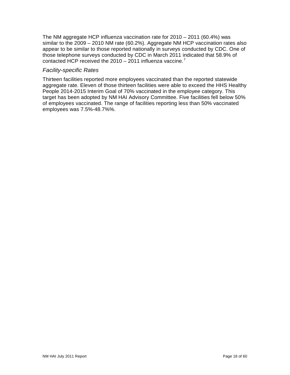The NM aggregate HCP influenza vaccination rate for 2010 – 2011 (60.4%) was similar to the 2009 – 2010 NM rate (60.2%). Aggregate NM HCP vaccination rates also appear to be similar to those reported nationally in surveys conducted by CDC. One of those telephone surveys conducted by CDC in March 2011 indicated that 58.9% of contacted HCP received the 2010 – 2011 influenza vaccine.<sup>[7](#page-59-2)</sup>

#### *Facility-specific Rates*

Thirteen facilities reported more employees vaccinated than the reported statewide aggregate rate. Eleven of those thirteen facilities were able to exceed the HHS Healthy People 2014-2015 Interim Goal of 70% vaccinated in the employee category. This target has been adopted by NM HAI Advisory Committee. Five facilities fell below 50% of employees vaccinated. The range of facilities reporting less than 50% vaccinated employees was 7.5%-48.7%%.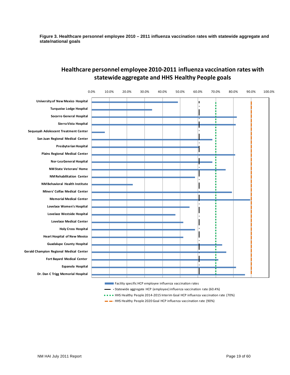<span id="page-18-0"></span>**Figure 3. Healthcare personnel employee 2010 – 2011 influenza vaccination rates with statewide aggregate and state/national goals**



## **Healthcare personnel employee 2010-2011 influenza vaccination rates with statewide aggregate and HHS Healthy People goals**

Facility specific HCP employee influenza vaccination rates

Statewide aggregate HCP (employee) influenza vaccination rate (60.4%)

• • • HHS Healthy People 2014-2015 Interim Goal HCP influenza vaccination rate (70%)

HHS Healthy People 2020 Goal HCP influenza vaccination rate (90%)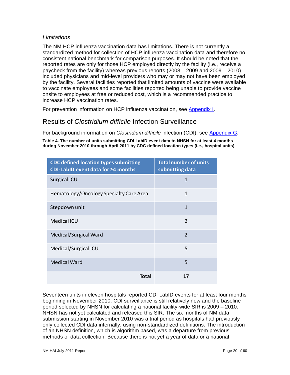## *Limitations*

The NM HCP influenza vaccination data has limitations. There is not currently a standardized method for collection of HCP influenza vaccination data and therefore no consistent national benchmark for comparison purposes. It should be noted that the reported rates are only for those HCP employed directly by the facility (i.e., receive a paycheck from the facility) whereas previous reports (2008 – 2009 and 2009 – 2010) included physicians and mid-level providers who may or may not have been employed by the facility. Several facilities reported that limited amounts of vaccine were available to vaccinate employees and some facilities reported being unable to provide vaccine onsite to employees at free or reduced cost, which is a recommended practice to increase HCP vaccination rates.

For prevention information on HCP influenza vaccination, see [Appendix I.](#page-49-0)

## <span id="page-19-0"></span>Results of *Clostridium difficile* Infection Surveillance

For background information on *Clostridium difficile* infection (CDI), see [Appendix G.](#page-45-0)

<span id="page-19-1"></span>**Table 4. The number of units submitting CDI LabID event data to NHSN for at least 4 months during November 2010 through April 2011 by CDC defined location types (i.e., hospital units)**

| <b>CDC defined location types submitting</b><br>CDI-LabID event data for ≥4 months | <b>Total number of units</b><br>submitting data |
|------------------------------------------------------------------------------------|-------------------------------------------------|
| Surgical ICU                                                                       | $\mathbf{1}$                                    |
| Hematology/Oncology Specialty Care Area                                            | 1                                               |
| Stepdown unit                                                                      | 1                                               |
| <b>Medical ICU</b>                                                                 | $\mathcal{P}$                                   |
| Medical/Surgical Ward                                                              | $\mathcal{P}$                                   |
| Medical/Surgical ICU                                                               | 5                                               |
| <b>Medical Ward</b>                                                                | 5                                               |
| Total                                                                              | 17                                              |

Seventeen units in eleven hospitals reported CDI LabID events for at least four months beginning in November 2010. CDI surveillance is still relatively new and the baseline period selected by NHSN for calculating a national facility-wide SIR is 2009 – 2010. NHSN has not yet calculated and released this SIR. The six months of NM data submission starting in November 2010 was a trial period as hospitals had previously only collected CDI data internally, using non-standardized definitions. The introduction of an NHSN definition, which is algorithm based, was a departure from previous methods of data collection. Because there is not yet a year of data or a national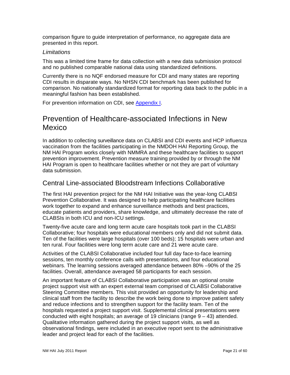comparison figure to guide interpretation of performance, no aggregate data are presented in this report.

#### *Limitations*

This was a limited time frame for data collection with a new data submission protocol and no published comparable national data using standardized definitions.

Currently there is no NQF endorsed measure for CDI and many states are reporting CDI results in disparate ways. No NHSN CDI benchmark has been published for comparison. No nationally standardized format for reporting data back to the public in a meaningful fashion has been established.

For prevention information on CDI, see [Appendix I.](#page-49-0)

# <span id="page-20-0"></span>Prevention of Healthcare-associated Infections in New Mexico

In addition to collecting surveillance data on CLABSI and CDI events and HCP influenza vaccination from the facilities participating in the NMDOH HAI Reporting Group, the NM HAI Program works closely with NMMRA and these healthcare facilities to support prevention improvement. Prevention measure training provided by or through the NM HAI Program is open to healthcare facilities whether or not they are part of voluntary data submission.

## <span id="page-20-1"></span>Central Line-associated Bloodstream Infections Collaborative

The first HAI prevention project for the NM HAI Initiative was the year-long CLABSI Prevention Collaborative. It was designed to help participating healthcare facilities work together to expand and enhance surveillance methods and best practices, educate patients and providers, share knowledge, and ultimately decrease the rate of CLABSIs in both ICU and non-ICU settings.

Twenty-five acute care and long term acute care hospitals took part in the CLABSI Collaborative; four hospitals were educational members only and did not submit data. Ten of the facilities were large hospitals (over 100 beds); 15 hospitals were urban and ten rural. Four facilities were long term acute care and 21 were acute care.

Activities of the CLABSI Collaborative included four full day face-to-face learning sessions, ten monthly conference calls with presentations, and four educational webinars. The learning sessions averaged attendance between 80% –90% of the 25 facilities. Overall, attendance averaged 58 participants for each session.

An important feature of CLABSI Collaborative participation was an optional onsite project support visit with an expert external team comprised of CLABSI Collaborative Steering Committee members. This visit provided an opportunity for leadership and clinical staff from the facility to describe the work being done to improve patient safety and reduce infections and to strengthen support for the facility team. Ten of the hospitals requested a project support visit. Supplemental clinical presentations were conducted with eight hospitals; an average of 19 clinicians (range 9 – 43) attended. Qualitative information gathered during the project support visits, as well as observational findings, were included in an executive report sent to the administrative leader and project lead for each of the facilities.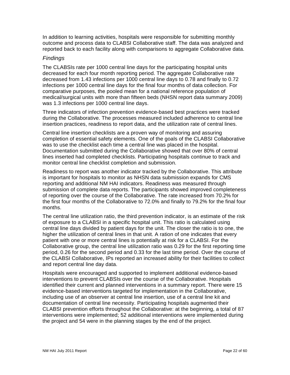In addition to learning activities, hospitals were responsible for submitting monthly outcome and process data to CLABSI Collaborative staff. The data was analyzed and reported back to each facility along with comparisons to aggregate Collaborative data.

#### *Findings*

The CLABSIs rate per 1000 central line days for the participating hospital units decreased for each four month reporting period. The aggregate Collaborative rate decreased from 1.43 infections per 1000 central line days to 0.78 and finally to 0.72 infections per 1000 central line days for the final four months of data collection. For comparative purposes, the pooled mean for a national reference population of medical/surgical units with more than fifteen beds (NHSN report data summary 2009) was 1.3 infections per 1000 central line days.

Three indicators of infection prevention evidence-based best practices were tracked during the Collaborative. The processes measured included adherence to central line insertion practices, readiness to report data, and the utilization rate of central lines.

Central line insertion checklists are a proven way of monitoring and assuring completion of essential safety elements. One of the goals of the CLABSI Collaborative was to use the checklist each time a central line was placed in the hospital. Documentation submitted during the Collaborative showed that over 80% of central lines inserted had completed checklists. Participating hospitals continue to track and monitor central line checklist completion and submission.

Readiness to report was another indicator tracked by the Collaborative. This attribute is important for hospitals to monitor as NHSN data submission expands for CMS reporting and additional NM HAI indicators. Readiness was measured through submission of complete data reports. The participants showed improved completeness of reporting over the course of the Collaborative. The rate increased from 70.2% for the first four months of the Collaborative to 72.0% and finally to 79.2% for the final four months.

The central line utilization ratio, the third prevention indicator, is an estimate of the risk of exposure to a CLABSI in a specific hospital unit. This ratio is calculated using central line days divided by patient days for the unit. The closer the ratio is to one, the higher the utilization of central lines in that unit. A ration of one indicates that every patient with one or more central lines is potentially at risk for a CLABSI. For the Collaborative group, the central line utilization ratio was 0.29 for the first reporting time period, 0.26 for the second period and 0.33 for the last time period. Over the course of the CLABSI Collaborative, IPs reported an increased ability for their facilities to collect and report central line day data.

Hospitals were encouraged and supported to implement additional evidence-based interventions to prevent CLABSIs over the course of the Collaborative. Hospitals identified their current and planned interventions in a summary report. There were 15 evidence-based interventions targeted for implementation in the Collaborative, including use of an observer at central line insertion, use of a central line kit and documentation of central line necessity. Participating hospitals augmented their CLABSI prevention efforts throughout the Collaborative: at the beginning, a total of 87 interventions were implemented; 52 additional interventions were implemented during the project and 54 were in the planning stages by the end of the project.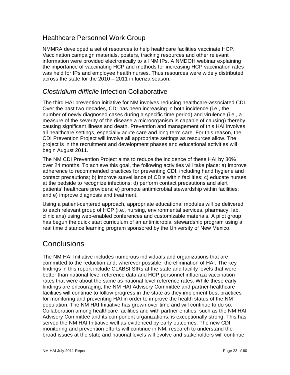## <span id="page-22-0"></span>Healthcare Personnel Work Group

NMMRA developed a set of resources to help healthcare facilities vaccinate HCP. Vaccination campaign materials, posters, tracking resources and other relevant information were provided electronically to all NM IPs. A NMDOH webinar explaining the importance of vaccinating HCP and methods for increasing HCP vaccination rates was held for IPs and employee health nurses. Thus resources were widely distributed across the state for the 2010 – 2011 influenza season.

## <span id="page-22-1"></span>*Clostridium difficile* Infection Collaborative

The third HAI prevention initiative for NM involves reducing healthcare-associated CDI. Over the past two decades, CDI has been increasing in both incidence (i.e., the number of newly diagnosed cases during a specific time period) and virulence (i.e., a measure of the severity of the disease a microorganism is capable of causing) thereby causing significant illness and death. Prevention and management of this HAI involves all healthcare settings, especially acute care and long term care. For this reason, the CDI Prevention Project will involve all appropriate settings as resources allow. The project is in the recruitment and development phases and educational activities will begin August 2011.

The NM CDI Prevention Project aims to reduce the incidence of these HAI by 30% over 24 months. To achieve this goal, the following activities will take place: a) improve adherence to recommended practices for preventing CDI, including hand hygiene and contact precautions; b) improve surveillance of CDIs within facilities; c) educate nurses at the bedside to recognize infections; d) perform contact precautions and alert patients' healthcare providers; e) promote antimicrobial stewardship within facilities; and e) improve diagnosis and treatment.

Using a patient-centered approach, appropriate educational modules will be delivered to each relevant group of HCP (i.e., nursing, environmental services, pharmacy, lab, clinicians) using web-enabled conferences and customizable materials. A pilot group has begun the quick start curriculum of an antimicrobial stewardship program using a real time distance learning program sponsored by the University of New Mexico.

# <span id="page-22-2"></span>**Conclusions**

The NM HAI Initiative includes numerous individuals and organizations that are committed to the reduction and, wherever possible, the elimination of HAI. The key findings in this report include CLABSI SIRs at the state and facility levels that were better than national level reference data and HCP personnel influenza vaccination rates that were about the same as national level reference rates. While these early findings are encouraging, the NM HAI Advisory Committee and partner healthcare facilities will continue to follow progress in the state as they implement best practices for monitoring and preventing HAI in order to improve the health status of the NM population. The NM HAI Initiative has grown over time and will continue to do so. Collaboration among healthcare facilities and with partner entities, such as the NM HAI Advisory Committee and its component organizations, is exceptionally strong. This has served the NM HAI Initiative well as evidenced by early outcomes. The new CDI monitoring and prevention efforts will continue in NM, research to understand the broad issues at the state and national levels will evolve and stakeholders will continue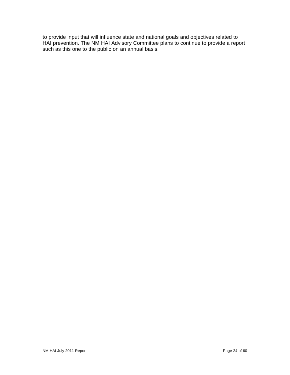to provide input that will influence state and national goals and objectives related to HAI prevention. The NM HAI Advisory Committee plans to continue to provide a report such as this one to the public on an annual basis.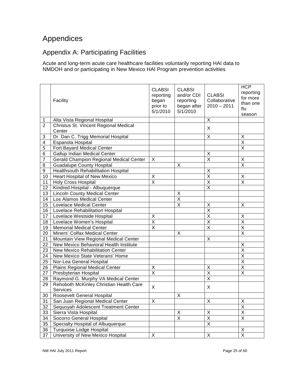# <span id="page-24-0"></span>Appendices

# <span id="page-24-1"></span>Appendix A: Participating Facilities

Acute and long-term acute care healthcare facilities voluntarily reporting HAI data to NMDOH and or participating in New Mexico HAI Program prevention activities

|                | Facility                                       | <b>CLABSI</b><br>reporting<br>began<br>prior to<br>5/1/2010 | <b>CLABSI</b><br>and/or CDI<br>reporting<br>began after<br>5/1/2010 | <b>CLABSI</b><br>Collaborative<br>$2010 - 2011$ | <b>HCP</b><br>reporting<br>for more<br>than one<br>flu<br>season |
|----------------|------------------------------------------------|-------------------------------------------------------------|---------------------------------------------------------------------|-------------------------------------------------|------------------------------------------------------------------|
| 1              | Alta Vista Regional Hospital                   |                                                             |                                                                     | X                                               |                                                                  |
| $\overline{2}$ | Christus St. Vincent Regional Medical          |                                                             |                                                                     |                                                 |                                                                  |
|                | Center                                         |                                                             |                                                                     | X                                               |                                                                  |
| 3              | Dr. Dan C. Trigg Memorial Hospital             |                                                             |                                                                     | X                                               | X                                                                |
| 4              | Espanola Hospital                              |                                                             |                                                                     |                                                 | X                                                                |
| $\overline{5}$ | Fort Bayard Medical Center                     |                                                             |                                                                     |                                                 | X                                                                |
| 6              | <b>Gallup Indian Medical Center</b>            |                                                             |                                                                     | X                                               |                                                                  |
| $\overline{7}$ | <b>Gerald Champion Regional Medical Center</b> | X                                                           |                                                                     | X                                               | X                                                                |
| 8              | <b>Guadalupe County Hospital</b>               |                                                             | X                                                                   |                                                 | X                                                                |
| 9              | <b>Healthsouth Rehabilitation Hospital</b>     |                                                             |                                                                     | X                                               |                                                                  |
| 10             | Heart Hospital of New Mexico                   | X                                                           |                                                                     | X                                               | X                                                                |
| 11             | <b>Holy Cross Hospital</b>                     | $\overline{\mathsf{x}}$                                     |                                                                     | X                                               | X                                                                |
| 12             | Kindred Hospital - Albuquerque                 |                                                             |                                                                     | X                                               |                                                                  |
| 13             | <b>Lincoln County Medical Center</b>           |                                                             | X                                                                   |                                                 |                                                                  |
| 14             | Los Alamos Medical Center                      |                                                             | X                                                                   |                                                 |                                                                  |
| 15             | <b>Lovelace Medical Center</b>                 |                                                             | X                                                                   | X                                               | X                                                                |
| 16             | Lovelace Rehabilitation Hospital               |                                                             |                                                                     | X                                               |                                                                  |
| 17             | Lovelace Westside Hospital                     | X                                                           |                                                                     | X                                               | X                                                                |
| 18             | Lovelace Women's Hospital                      | $\overline{\mathsf{x}}$                                     |                                                                     | X                                               | $\overline{X}$                                                   |
| 19             | <b>Memorial Medical Center</b>                 | $\overline{\mathsf{x}}$                                     |                                                                     | X                                               | X                                                                |
| 20             | Miners' Colfax Medical Center                  |                                                             | х                                                                   |                                                 | Χ                                                                |
| 21             | Mountain View Regional Medical Center          |                                                             |                                                                     | X                                               |                                                                  |
| 22             | New Mexico Behavioral Health Institute         |                                                             |                                                                     |                                                 | X                                                                |
| 23             | New Mexico Rehabilitation Center               |                                                             |                                                                     |                                                 | $\overline{\mathsf{x}}$                                          |
| 24             | New Mexico State Veterans' Home                |                                                             |                                                                     |                                                 | X                                                                |
| 25             | Nor-Lea General Hospital                       |                                                             |                                                                     |                                                 | X                                                                |
| 26             | <b>Plains Regional Medical Center</b>          | X                                                           |                                                                     | X                                               | X                                                                |
| 27             | Presbyterian Hospital                          | $\overline{\mathsf{x}}$                                     |                                                                     | $\overline{\mathsf{x}}$                         | X                                                                |
| 28             | Raymond G. Murphy VA Medical Center            |                                                             |                                                                     | X                                               |                                                                  |
| 29             | Rehoboth McKinley Christian Health Care        | X                                                           |                                                                     | X                                               |                                                                  |
|                | Services                                       |                                                             |                                                                     |                                                 |                                                                  |
| 30             | <b>Roosevelt General Hospital</b>              |                                                             | $\mathsf X$                                                         |                                                 |                                                                  |
| 31             | San Juan Regional Medical Center               | X                                                           |                                                                     | X                                               | $\sf X$                                                          |
| 32             | Sequoyah Adolescent Treatment Center           |                                                             |                                                                     |                                                 | $\overline{X}$                                                   |
| 33             | Sierra Vista Hospital                          |                                                             | X                                                                   | $\sf X$                                         | $\mathsf X$                                                      |
| 34             | Socorro General Hospital                       |                                                             | X                                                                   | $\mathsf X$                                     | X                                                                |
| 35             | Specialty Hospital of Albuquerque              |                                                             |                                                                     | X                                               |                                                                  |
| 36             | <b>Turquoise Lodge Hospital</b>                |                                                             |                                                                     |                                                 | X                                                                |
| 37             | University of New Mexico Hospital              | $\mathsf X$                                                 |                                                                     | $\pmb{\times}$                                  | $\overline{X}$                                                   |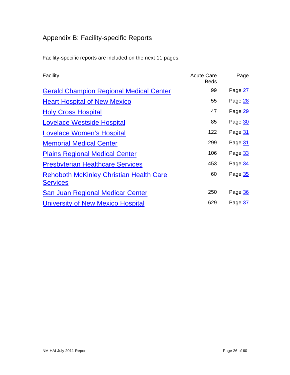# <span id="page-25-0"></span>Appendix B: Facility-specific Reports

Facility-specific reports are included on the next 11 pages.

| Facility                                                          | <b>Acute Care</b><br><b>Beds</b> | Page    |
|-------------------------------------------------------------------|----------------------------------|---------|
| <b>Gerald Champion Regional Medical Center</b>                    | 99                               | Page 27 |
| <b>Heart Hospital of New Mexico</b>                               | 55                               | Page 28 |
| <b>Holy Cross Hospital</b>                                        | 47                               | Page 29 |
| <b>Lovelace Westside Hospital</b>                                 | 85                               | Page 30 |
| <b>Lovelace Women's Hospital</b>                                  | 122                              | Page 31 |
| <b>Memorial Medical Center</b>                                    | 299                              | Page 31 |
| <b>Plains Regional Medical Center</b>                             | 106                              | Page 33 |
| <b>Presbyterian Healthcare Services</b>                           | 453                              | Page 34 |
| <b>Rehoboth McKinley Christian Health Care</b><br><b>Services</b> | 60                               | Page 35 |
| <b>San Juan Regional Medicar Center</b>                           | 250                              | Page 36 |
| University of New Mexico Hospital                                 | 629                              | Page 37 |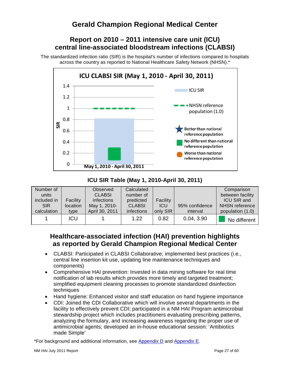# <span id="page-26-0"></span>**Report on 2010 – 2011 intensive care unit (ICU) central line-associated bloodstream infections (CLABSI)**

The standardized infection ratio (SIR) is the hospital's number of infections compared to hospitals across the country as reported to National Healthcare Safety Network (NHSN).\*



## **ICU SIR Table (May 1, 2010-April 30, 2011)**

| Number of   |                 | Observed       | Calculated    |            |                | Comparison         |
|-------------|-----------------|----------------|---------------|------------|----------------|--------------------|
| units       |                 | <b>CLABSI</b>  | number of     |            |                | between facility   |
| included in | Facility        | infections     | predicted     | Facility   |                | <b>ICU SIR and</b> |
| <b>SIR</b>  | <i>location</i> | May 1, 2010-   | <b>CLABSI</b> | <b>ICU</b> | 95% confidence | NHSN reference     |
| calculation | type            | April 30, 2011 | infections    | only SIR   | interval       | population (1.0)   |
|             | ICU             |                | 1.22          | 0.82       | 0.04, 3.90     | No different       |

# **Healthcare-associated infection (HAI) prevention highlights as reported by Gerald Champion Regional Medical Center**

- CLABSI: Participated in CLABSI Collaborative; implemented best practices (i.e., central line insertion kit use, updating line maintenance techniques and components)
- Comprehensive HAI prevention: Invested in data mining software for real time notification of lab results which provides more timely and targeted treatment; simplified equipment cleaning processes to promote standardized disinfection techniques
- Hand hygiene: Enhanced visitor and staff education on hand hygiene importance
- CDI: Joined the CDI Collaborative which will involve several departments in the facility to effectively prevent CDI; participated in a NM HAI Program antimicrobial stewardship project which includes practitioners evaluating prescribing patterns, analyzing the formulary, and increasing awareness regarding the proper use of antimicrobial agents; developed an in-house educational session: 'Antibiotics made Simple'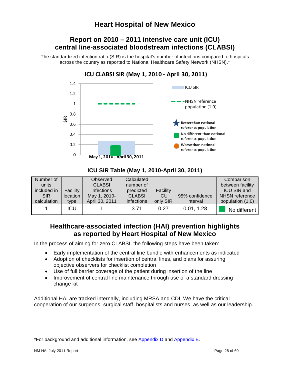# <span id="page-27-0"></span>**Report on 2010 – 2011 intensive care unit (ICU) central line-associated bloodstream infections (CLABSI)**

The standardized infection ratio (SIR) is the hospital's number of infections compared to hospitals across the country as reported to National Healthcare Safety Network (NHSN).\*



**ICU SIR Table (May 1, 2010-April 30, 2011)**

| Number of   |            | Observed       | Calculated    |            |                | Comparison         |
|-------------|------------|----------------|---------------|------------|----------------|--------------------|
| units       |            | <b>CLABSI</b>  | number of     |            |                | between facility   |
| included in | Facility   | infections     | predicted     | Facility   |                | <b>ICU SIR and</b> |
| <b>SIR</b>  | location   | May 1, 2010-   | <b>CLABSI</b> | <b>ICU</b> | 95% confidence | NHSN reference     |
| calculation | type       | April 30, 2011 | infections    | only SIR   | interval       | population (1.0)   |
|             | <b>ICU</b> |                | 3.71          | 0.27       | 0.01, 1.28     | No different       |

# **Healthcare-associated infection (HAI) prevention highlights as reported by Heart Hospital of New Mexico**

In the process of aiming for zero CLABSI, the following steps have been taken:

- Early implementation of the central line bundle with enhancements as indicated
- Adoption of checklists for insertion of central lines, and plans for assuring objective observers for checklist completion
- Use of full barrier coverage of the patient during insertion of the line
- Improvement of central line maintenance through use of a standard dressing change kit

Additional HAI are tracked internally, including MRSA and CDI. We have the critical cooperation of our surgeons, surgical staff, hospitalists and nurses, as well as our leadership.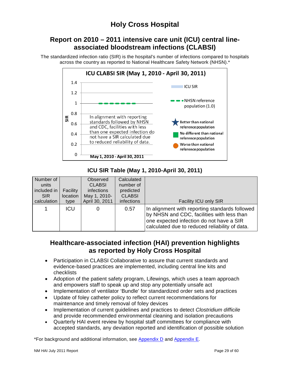# **Holy Cross Hospital**

# <span id="page-28-0"></span>**Report on 2010 – 2011 intensive care unit (ICU) central lineassociated bloodstream infections (CLABSI)**

The standardized infection ratio (SIR) is the hospital's number of infections compared to hospitals across the country as reported to National Healthcare Safety Network (NHSN).\*



## **ICU SIR Table (May 1, 2010-April 30, 2011)**

| Number of   |            | Observed       | Calculated    |                                                                                                                                                                                            |
|-------------|------------|----------------|---------------|--------------------------------------------------------------------------------------------------------------------------------------------------------------------------------------------|
| units       |            | <b>CLABSI</b>  | number of     |                                                                                                                                                                                            |
| included in | Facility   | infections     | predicted     |                                                                                                                                                                                            |
| <b>SIR</b>  | location   | May 1, 2010-   | <b>CLABSI</b> |                                                                                                                                                                                            |
| calculation | type       | April 30, 2011 | infections    | Facility ICU only SIR                                                                                                                                                                      |
|             | <b>ICU</b> |                | 0.57          | In alignment with reporting standards followed<br>by NHSN and CDC, facilities with less than<br>one expected infection do not have a SIR<br>calculated due to reduced reliability of data. |

# **Healthcare-associated infection (HAI) prevention highlights as reported by Holy Cross Hospital**

- Participation in CLABSI Collaborative to assure that current standards and evidence-based practices are implemented, including central line kits and checklists
- Adoption of the patient safety program, Lifewings, which uses a team approach and empowers staff to speak up and stop any potentially unsafe act
- Implementation of ventilator 'Bundle' for standardized order sets and practices
- Update of foley catheter policy to reflect current recommendations for maintenance and timely removal of foley devices
- Implementation of current guidelines and practices to detect *Clostridium difficile* and provide recommended environmental cleaning and isolation precautions
- Quarterly HAI event review by hospital staff committees for compliance with accepted standards, any deviation reported and identification of possible solution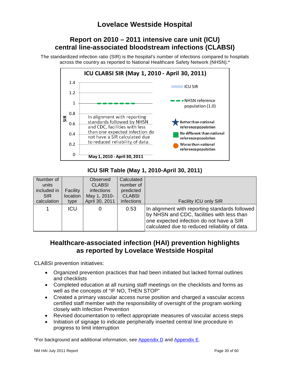# <span id="page-29-0"></span>**Report on 2010 – 2011 intensive care unit (ICU) central line-associated bloodstream infections (CLABSI)**

The standardized infection ratio (SIR) is the hospital's number of infections compared to hospitals across the country as reported to National Healthcare Safety Network (NHSN).\*



## **ICU SIR Table (May 1, 2010-April 30, 2011)**

| Number of   |            | Observed       | Calculated    |                                                                                                                                                                                            |
|-------------|------------|----------------|---------------|--------------------------------------------------------------------------------------------------------------------------------------------------------------------------------------------|
| units       |            | <b>CLABSI</b>  | number of     |                                                                                                                                                                                            |
| included in | Facility   | infections     | predicted     |                                                                                                                                                                                            |
| <b>SIR</b>  | location   | May 1, 2010-   | <b>CLABSI</b> |                                                                                                                                                                                            |
| calculation | type       | April 30, 2011 | infections    | <b>Facility ICU only SIR</b>                                                                                                                                                               |
|             | <b>ICU</b> | 0              | 0.53          | In alignment with reporting standards followed<br>by NHSN and CDC, facilities with less than<br>one expected infection do not have a SIR<br>calculated due to reduced reliability of data. |

# **Healthcare-associated infection (HAI) prevention highlights as reported by Lovelace Westside Hospital**

CLABSI prevention initiatives:

- Organized prevention practices that had been initiated but lacked formal outlines and checklists
- Completed education at all nursing staff meetings on the checklists and forms as well as the concepts of "IF NO, THEN STOP"
- Created a primary vascular access nurse position and charged a vascular access certified staff member with the responsibility of oversight of the program working closely with Infection Prevention
- Revised documentation to reflect appropriate measures of vascular access steps
- Initiation of signage to indicate peripherally inserted central line procedure in progress to limit interruption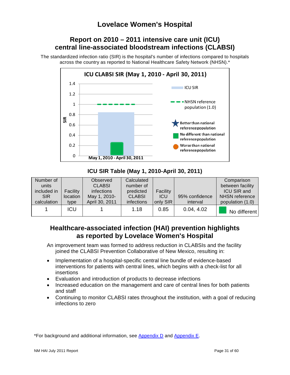# <span id="page-30-0"></span>**Report on 2010 – 2011 intensive care unit (ICU) central line-associated bloodstream infections (CLABSI)**

The standardized infection ratio (SIR) is the hospital's number of infections compared to hospitals across the country as reported to National Healthcare Safety Network (NHSN).\*



## **ICU SIR Table (May 1, 2010-April 30, 2011)**

| Number of   |          | Observed       | Calculated    |            |                | Comparison            |
|-------------|----------|----------------|---------------|------------|----------------|-----------------------|
| units       |          | <b>CLABSI</b>  | number of     |            |                | between facility      |
| included in | Facility | infections     | predicted     | Facility   |                | <b>ICU SIR and</b>    |
| <b>SIR</b>  | location | May 1, 2010-   | <b>CLABSI</b> | <b>ICU</b> | 95% confidence | <b>NHSN</b> reference |
| calculation | type     | April 30, 2011 | infections    | only SIR   | interval       | population (1.0)      |
|             | ICU      |                | 1.18          | 0.85       | 0.04, 4.02     | No different          |

# **Healthcare-associated infection (HAI) prevention highlights as reported by Lovelace Women's Hospital**

An improvement team was formed to address reduction in CLABSIs and the facility joined the CLABSI Prevention Collaborative of New Mexico, resulting in:

- Implementation of a hospital-specific central line bundle of evidence-based interventions for patients with central lines, which begins with a check-list for all insertions
- Evaluation and introduction of products to decrease infections
- Increased education on the management and care of central lines for both patients and staff
- Continuing to monitor CLABSI rates throughout the institution, with a goal of reducing infections to zero

<span id="page-30-1"></span>\*For background and additional information, see [Appendix D](#page-38-0) and [Appendix E.](#page-40-0)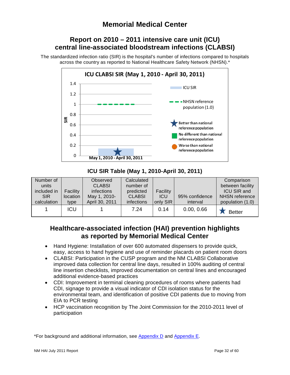# **Report on 2010 – 2011 intensive care unit (ICU) central line-associated bloodstream infections (CLABSI)**

The standardized infection ratio (SIR) is the hospital's number of infections compared to hospitals across the country as reported to National Healthcare Safety Network (NHSN).\*



**ICU SIR Table (May 1, 2010-April 30, 2011)**

| Number of   |          | Observed       | Calculated    |            |                | Comparison         |
|-------------|----------|----------------|---------------|------------|----------------|--------------------|
| units       |          | <b>CLABSI</b>  | number of     |            |                | between facility   |
| included in | Facility | infections     | predicted     | Facility   |                | <b>ICU SIR and</b> |
| <b>SIR</b>  | location | May 1, 2010-   | <b>CLABSI</b> | <b>ICU</b> | 95% confidence | NHSN reference     |
| calculation | type     | April 30, 2011 | infections    | only SIR   | interval       | population (1.0)   |
|             | ICU      |                | 7.24          | 0.14       | 0.00, 0.66     | <b>Better</b>      |

# **Healthcare-associated infection (HAI) prevention highlights as reported by Memorial Medical Center**

- Hand Hygiene: Installation of over 600 automated dispensers to provide quick, easy, access to hand hygiene and use of reminder placards on patient room doors
- CLABSI: Participation in the CUSP program and the NM CLABSI Collaborative improved data collection for central line days, resulted in 100% auditing of central line insertion checklists, improved documentation on central lines and encouraged additional evidence-based practices
- CDI: Improvement in terminal cleaning procedures of rooms where patients had CDI, signage to provide a visual indicator of CDI isolation status for the environmental team, and identification of positive CDI patients due to moving from EIA to PCR testing
- HCP vaccination recognition by The Joint Commission for the 2010-2011 level of participation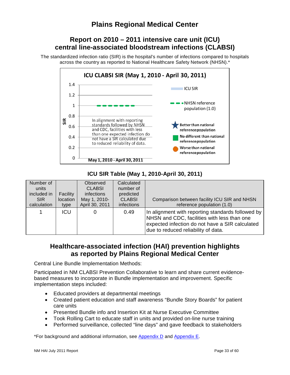# <span id="page-32-0"></span>**Plains Regional Medical Center**

# **Report on 2010 – 2011 intensive care unit (ICU) central line-associated bloodstream infections (CLABSI)**

The standardized infection ratio (SIR) is the hospital's number of infections compared to hospitals across the country as reported to National Healthcare Safety Network (NHSN).\*



## **ICU SIR Table (May 1, 2010-April 30, 2011)**

| Number of   |          | Observed       | Calculated    |                                                                                                                                                                                            |
|-------------|----------|----------------|---------------|--------------------------------------------------------------------------------------------------------------------------------------------------------------------------------------------|
| units       |          | <b>CLABSI</b>  | number of     |                                                                                                                                                                                            |
| included in | Facility | infections     | predicted     |                                                                                                                                                                                            |
| SIR.        | location | May 1, 2010-   | <b>CLABSI</b> | Comparison between facility ICU SIR and NHSN                                                                                                                                               |
| calculation | type     | April 30, 2011 | infections    | reference population (1.0)                                                                                                                                                                 |
|             | ICU      |                | 0.49          | In alignment with reporting standards followed by<br>NHSN and CDC, facilities with less than one<br>expected infection do not have a SIR calculated<br>due to reduced reliability of data. |

## **Healthcare-associated infection (HAI) prevention highlights as reported by Plains Regional Medical Center**

Central Line Bundle Implementation Methods:

Participated in NM CLABSI Prevention Collaborative to learn and share current evidencebased measures to incorporate in Bundle implementation and improvement. Specific implementation steps included:

- Educated providers at departmental meetings
- Created patient education and staff awareness "Bundle Story Boards" for patient care units
- Presented Bundle info and Insertion Kit at Nurse Executive Committee
- Took Rolling Cart to educate staff in units and provided on-line nurse training
- Performed surveillance, collected "line days" and gave feedback to stakeholders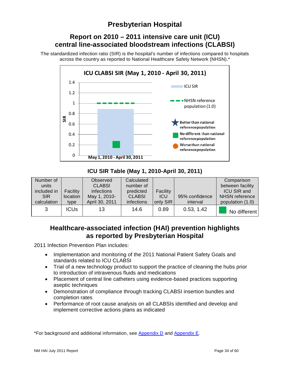# <span id="page-33-0"></span>**Presbyterian Hospital**

# **Report on 2010 – 2011 intensive care unit (ICU) central line-associated bloodstream infections (CLABSI)**

The standardized infection ratio (SIR) is the hospital's number of infections compared to hospitals across the country as reported to National Healthcare Safety Network (NHSN).\*



## **ICU SIR Table (May 1, 2010-April 30, 2011)**

| Number of   |                 | <b>Observed</b> | Calculated    |            |                | Comparison         |
|-------------|-----------------|-----------------|---------------|------------|----------------|--------------------|
| units       |                 | <b>CLABSI</b>   | number of     |            |                | between facility   |
| included in | Facility        | infections      | predicted     | Facility   |                | <b>ICU SIR and</b> |
| <b>SIR</b>  | <i>location</i> | May 1, 2010-    | <b>CLABSI</b> | <b>ICU</b> | 95% confidence | NHSN reference     |
| calculation | type            | April 30, 2011  | infections    | only SIR   | interval       | population (1.0)   |
| 3           | <b>ICUs</b>     | 13              | 14.6          | 0.89       | 0.53, 1.42     | No different       |

# **Healthcare-associated infection (HAI) prevention highlights as reported by Presbyterian Hospital**

2011 Infection Prevention Plan includes:

- Implementation and monitoring of the 2011 National Patient Safety Goals and standards related to ICU CLABSI
- Trial of a new technology product to support the practice of cleaning the hubs prior to introduction of intravenous fluids and medications
- Placement of central line catheters using evidence-based practices supporting aseptic techniques
- Demonstration of compliance through tracking CLABSI insertion bundles and completion rates
- Performance of root cause analysis on all CLABSIs identified and develop and implement corrective actions plans as indicated

\*For background and additional information, see [Appendix D](#page-38-0) and [Appendix E.](#page-40-0)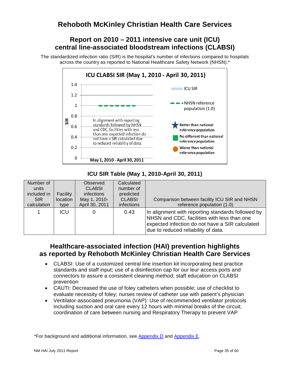# <span id="page-34-0"></span>**Rehoboth McKinley Christian Health Care Services**

# **Report on 2010 – 2011 intensive care unit (ICU) central line-associated bloodstream infections (CLABSI)**

The standardized infection ratio (SIR) is the hospital's number of infections compared to hospitals across the country as reported to National Healthcare Safety Network (NHSN).\*



## **ICU SIR Table (May 1, 2010-April 30, 2011)**

| Number of   |          | Observed       | Calculated    |                                                                                                                                                                                            |
|-------------|----------|----------------|---------------|--------------------------------------------------------------------------------------------------------------------------------------------------------------------------------------------|
| units       |          | <b>CLABSI</b>  | number of     |                                                                                                                                                                                            |
| included in | Facility | infections     | predicted     |                                                                                                                                                                                            |
| <b>SIR</b>  | location | May 1, 2010-   | <b>CLABSI</b> | Comparison between facility ICU SIR and NHSN                                                                                                                                               |
| calculation | type     | April 30, 2011 | infections    | reference population (1.0)                                                                                                                                                                 |
|             | ICU      |                | 0.43          | In alignment with reporting standards followed by<br>NHSN and CDC, facilities with less than one<br>expected infection do not have a SIR calculated<br>due to reduced reliability of data. |

# **Healthcare-associated infection (HAI) prevention highlights as reported by Rehoboth McKinley Christian Health Care Services**

- CLABSI: Use of a customized central line insertion kit incorporating best practice standards and staff input; use of a disinfection cap for our leur access ports and connectors to assure a consistent cleaning method; staff education on CLABSI prevention
- CAUTI: Decreased the use of foley catheters when possible; use of checklist to evaluate necessity of foley; nurses review of catheter use with patient's physician
- Ventilator-associated pneumonia (VAP): Use of recommended ventilator protocols including suction and oral care every 12 hours with minimal breaks of the circuit; coordination of care between nursing and Respiratory Therapy to prevent VAP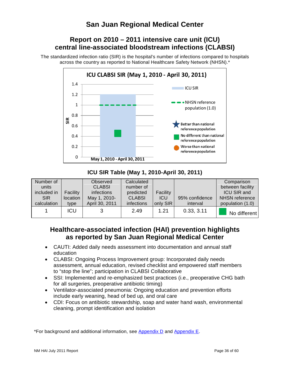# <span id="page-35-0"></span>**Report on 2010 – 2011 intensive care unit (ICU) central line-associated bloodstream infections (CLABSI)**

The standardized infection ratio (SIR) is the hospital's number of infections compared to hospitals across the country as reported to National Healthcare Safety Network (NHSN).\*



## **ICU SIR Table (May 1, 2010-April 30, 2011)**

| Number of   |            | Observed       | Calculated    |            |                | Comparison         |
|-------------|------------|----------------|---------------|------------|----------------|--------------------|
| units       |            | <b>CLABSI</b>  | number of     |            |                | between facility   |
| included in | Facility   | infections     | predicted     | Facility   |                | <b>ICU SIR and</b> |
| <b>SIR</b>  | location   | May 1, 2010-   | <b>CLABSI</b> | <b>ICU</b> | 95% confidence | NHSN reference     |
| calculation | type       | April 30, 2011 | infections    | only SIR   | interval       | population (1.0)   |
|             | <b>ICU</b> |                | 2.49          | 1.21       | 0.33, 3.11     | No different       |

# **Healthcare-associated infection (HAI) prevention highlights as reported by San Juan Regional Medical Center**

- CAUTI: Added daily needs assessment into documentation and annual staff education
- CLABSI: Ongoing Process Improvement group: Incorporated daily needs assessment, annual education, revised checklist and empowered staff members to "stop the line"; participation in CLABSI Collaborative
- SSI: Implemented and re-emphasized best practices (i.e., preoperative CHG bath for all surgeries, preoperative antibiotic timing)
- Ventilator-associated pneumonia: Ongoing education and prevention efforts include early weaning, head of bed up, and oral care
- CDI: Focus on antibiotic stewardship, soap and water hand wash, environmental cleaning, prompt identification and isolation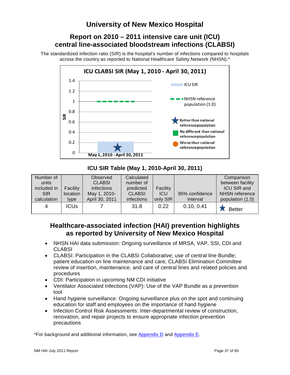# <span id="page-36-0"></span>**Report on 2010 – 2011 intensive care unit (ICU) central line-associated bloodstream infections (CLABSI)**

The standardized infection ratio (SIR) is the hospital's number of infections compared to hospitals across the country as reported to National Healthcare Safety Network (NHSN).\*



**ICU SIR Table (May 1, 2010-April 30, 2011)**

| Number of   |                 | Observed       | Calculated    |            |                | Comparison         |
|-------------|-----------------|----------------|---------------|------------|----------------|--------------------|
| units       |                 | <b>CLABSI</b>  | number of     |            |                | between facility   |
| included in | <b>Facility</b> | infections     | predicted     | Facility   |                | <b>ICU SIR and</b> |
| <b>SIR</b>  | location        | May 1, 2010-   | <b>CLABSI</b> | <b>ICU</b> | 95% confidence | NHSN reference     |
| calculation | type            | April 30, 2011 | infections    | only SIR   | interval       | population (1.0)   |
| 4           | <b>ICUs</b>     |                | 31.8          | 0.22       | 0.10, 0.41     | <b>Better</b>      |

# **Healthcare-associated infection (HAI) prevention highlights as reported by University of New Mexico Hospital**

- NHSN HAI data submission: Ongoing surveillance of MRSA, VAP, SSI, CDI and **CLABSI**
- CLABSI: Participation in the CLABSI Collaborative; use of central line Bundle; patient education on line maintenance and care; CLABSI Elimination Committee review of insertion, maintenance, and care of central lines and related policies and procedures
- CDI: Participation in upcoming NM CDI initiative
- Ventilator Associated Infections (VAP): Use of the VAP Bundle as a prevention tool
- Hand hygiene surveillance: Ongoing surveillance plus on the spot and continuing education for staff and employees on the importance of hand hygiene
- Infection Control Risk Assessments: Inter-departmental review of construction, renovation, and repair projects to ensure appropriate infection prevention precautions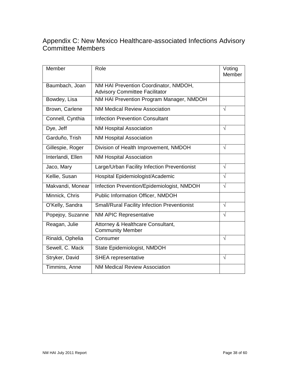# <span id="page-37-0"></span>Appendix C: New Mexico Healthcare-associated Infections Advisory Committee Members

| Member            | Role                                                                           | Voting<br>Member |
|-------------------|--------------------------------------------------------------------------------|------------------|
| Baumbach, Joan    | NM HAI Prevention Coordinator, NMDOH,<br><b>Advisory Committee Facilitator</b> |                  |
| Bowdey, Lisa      | NM HAI Prevention Program Manager, NMDOH                                       |                  |
| Brown, Carlene    | <b>NM Medical Review Association</b>                                           | $\sqrt{}$        |
| Connell, Cynthia  | <b>Infection Prevention Consultant</b>                                         |                  |
| Dye, Jeff         | <b>NM Hospital Association</b>                                                 | $\sqrt{}$        |
| Garduño, Trish    | <b>NM Hospital Association</b>                                                 |                  |
| Gillespie, Roger  | Division of Health Improvement, NMDOH                                          | $\sqrt{}$        |
| Interlandi, Ellen | <b>NM Hospital Association</b>                                                 |                  |
| Jaco, Mary        | Large/Urban Facility Infection Preventionist                                   | $\sqrt{}$        |
| Kellie, Susan     | Hospital Epidemiologist/Academic                                               | $\sqrt{}$        |
| Makvandi, Monear  | Infection Prevention/Epidemiologist, NMDOH                                     | $\sqrt{}$        |
| Minnick, Chris    | Public Information Officer, NMDOH                                              |                  |
| O'Kelly, Sandra   | <b>Small/Rural Facility Infection Preventionist</b>                            | $\sqrt{}$        |
| Popejoy, Suzanne  | NM APIC Representative                                                         | $\sqrt{}$        |
| Reagan, Julie     | Attorney & Healthcare Consultant,<br><b>Community Member</b>                   |                  |
| Rinaldi, Ophelia  | Consumer                                                                       | $\sqrt{}$        |
| Sewell, C. Mack   | State Epidemiologist, NMDOH                                                    |                  |
| Stryker, David    | <b>SHEA</b> representative                                                     | $\sqrt{}$        |
| Timmins, Anne     | <b>NM Medical Review Association</b>                                           |                  |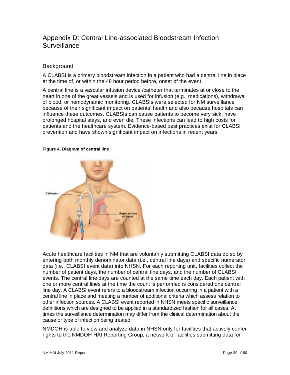# <span id="page-38-0"></span>Appendix D: Central Line-associated Bloodstream Infection **Surveillance**

## **Background**

A CLABSI is a primary bloodstream infection in a patient who had a central line in place at the time of, or within the 48 hour period before, onset of the event.

A central line is a vascular infusion device /catheter that terminates at or close to the heart in one of the great vessels and is used for infusion (e.g., medications), withdrawal of blood, or hemodynamic monitoring. CLABSIs were selected for NM surveillance because of their significant impact on patients' health and also because hospitals can influence these outcomes. CLABSIs can cause patients to become very sick, have prolonged hospital stays, and even die. These infections can lead to high costs for patients and the healthcare system. Evidence-based best practices exist for CLABSI prevention and have shown significant impact on infections in recent years.

#### <span id="page-38-1"></span>**Figure 4. Diagram of central line**



Acute healthcare facilities in NM that are voluntarily submitting CLABSI data do so by entering both monthly denominator data (i.e., central line days) and specific numerator data (i.e., CLABSI event data) into NHSN. For each reporting unit, facilities collect the number of patient days, the number of central line days, and the number of CLABSI events. The central line days are counted at the same time each day. Each patient with one or more central lines at the time the count is performed is considered one central line day. A CLABSI event refers to a bloodstream infection occurring in a patient with a central line in place and meeting a number of additional criteria which assess relation to other infection sources. A CLABSI event reported in NHSN meets specific surveillance definitions which are designed to be applied in a standardized fashion for all cases. At times the surveillance determination may differ from the clinical determination about the cause or type of infection being treated.

NMDOH is able to view and analyze data in NHSN only for facilities that actively confer rights to the NMDOH HAI Reporting Group, a network of facilities submitting data for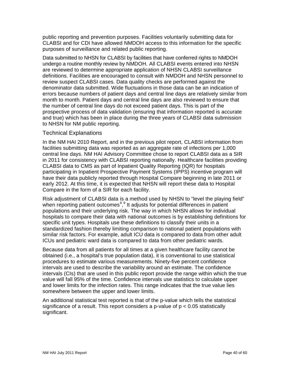public reporting and prevention purposes. Facilities voluntarily submitting data for CLABSI and for CDI have allowed NMDOH access to this information for the specific purposes of surveillance and related public reporting.

Data submitted to NHSN for CLABSI by facilities that have conferred rights to NMDOH undergo a routine monthly review by NMDOH. All CLABSI events entered into NHSN are reviewed to determine appropriate application of NHSN CLABSI surveillance definitions. Facilities are encouraged to consult with NMDOH and NHSN personnel to review suspect CLABSI cases. Data quality checks are performed against the denominator data submitted. Wide fluctuations in those data can be an indication of errors because numbers of patient days and central line days are relatively similar from month to month. Patient days and central line days are also reviewed to ensure that the number of central line days do not exceed patient days. This is part of the prospective process of data validation (ensuring that information reported is accurate and true) which has been in place during the three years of CLABSI data submission to NHSN for NM public reporting.

#### Technical Explanations

In the NM HAI 2010 Report, and in the previous pilot report, CLABSI information from facilities submitting data was reported as an aggregate rate of infections per 1,000 central line days. NM HAI Advisory Committee chose to report CLABSI data as a SIR in 2011 for consistency with CLABSI reporting nationally. Healthcare facilities providing CLABSI data to CMS as part of Inpatient Quality Reporting (IQR) for hospitals participating in Inpatient Prospective Payment Systems (IPPS) incentive program will have their data publicly reported through Hospital Compare beginning in late 2011 or early 2012. At this time, it is expected that NHSN will report these data to Hospital Compare in the form of a SIR for each facility.

Risk adjustment of CLABSI data is a method used by NHSN to "level the playing field" when reporting patient outcomes<sup>[8](#page-59-3)</sup>,<sup>[9](#page-59-4)</sup> It adjusts for potential differences in patient populations and their underlying risk. The way in which NHSN allows for individual hospitals to compare their data with national outcomes is by establishing definitions for specific unit types. Hospitals use these definitions to classify their units in a standardized fashion thereby limiting comparison to national patient populations with similar risk factors. For example, adult ICU data is compared to data from other adult ICUs and pediatric ward data is compared to data from other pediatric wards.

Because data from all patients for all times at a given healthcare facility cannot be obtained (i.e., a hospital's true population data), it is conventional to use statistical procedures to estimate various measurements. Ninety-five percent confidence intervals are used to describe the variability around an estimate. The confidence intervals (CIs) that are used in this public report provide the range within which the true value will fall 95% of the time. Confidence intervals use statistics to calculate upper and lower limits for the infection rates. This range indicates that the true value lies somewhere between the upper and lower limits.

An additional statistical test reported is that of the p-value which tells the statistical significance of a result. This report considers a p-value of p < 0.05 statistically significant.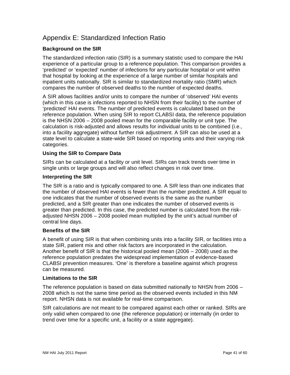# <span id="page-40-0"></span>Appendix E: Standardized Infection Ratio

## **Background on the SIR**

The standardized infection ratio (SIR) is a summary statistic used to compare the HAI experience of a particular group to a reference population. This comparison provides a 'predicted' or 'expected' number of infections for any particular hospital or unit within that hospital by looking at the experience of a large number of similar hospitals and inpatient units nationally. SIR is similar to standardized mortality ratio (SMR) which compares the number of observed deaths to the number of expected deaths.

A SIR allows facilities and/or units to compare the number of 'observed' HAI events (which in this case is infections reported to NHSN from their facility) to the number of 'predicted' HAI events. The number of predicted events is calculated based on the reference population. When using SIR to report CLABSI data, the reference population is the NHSN 2006 – 2008 pooled mean for the comparable facility or unit type. The calculation is risk-adjusted and allows results for individual units to be combined (i.e., into a facility aggregate) without further risk adjustment. A SIR can also be used at a state level to calculate a state-wide SIR based on reporting units and their varying risk categories.

## **Using the SIR to Compare Data**

SIRs can be calculated at a facility or unit level. SIRs can track trends over time in single units or large groups and will also reflect changes in risk over time.

#### **Interpreting the SIR**

The SIR is a ratio and is typically compared to one. A SIR less than one indicates that the number of observed HAI events is fewer than the number predicted. A SIR equal to one indicates that the number of observed events is the same as the number predicted, and a SIR greater than one indicates the number of observed events is greater than predicted. In this case, the predicted number is calculated from the riskadjusted NHSN 2006 – 2008 pooled mean multiplied by the unit's actual number of central line days.

#### **Benefits of the SIR**

A benefit of using SIR is that when combining units into a facility SIR, or facilities into a state SIR, patient mix and other risk factors are incorporated in the calculation. Another benefit of SIR is that the historical pooled mean (2006 – 2008) used as the reference population predates the widespread implementation of evidence-based CLABSI prevention measures. 'One' is therefore a baseline against which progress can be measured.

#### **Limitations to the SIR**

The reference population is based on data submitted nationally to NHSN from 2006 – 2008 which is not the same time period as the observed events included in this NM report. NHSN data is not available for real-time comparison.

SIR calculations are not meant to be compared against each other or ranked. SIRs are only valid when compared to one (the reference population) or internally (in order to trend over time for a specific unit, a facility or a state aggregate).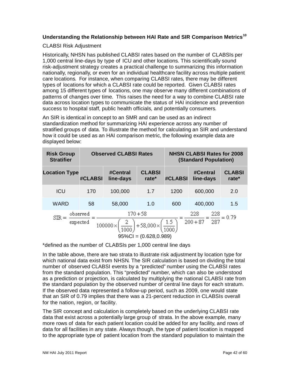## **Understanding the Relationship between HAI Rate and SIR Comparison Metrics[10](#page-59-5)**

#### CLABSI Risk Adjustment

Historically, NHSN has published CLABSI rates based on the number of CLABSIs per 1,000 central line-days by type of ICU and other locations. This scientifically sound risk-adjustment strategy creates a practical challenge to summarizing this information nationally, regionally, or even for an individual healthcare facility across multiple patient care locations. For instance, when comparing CLABSI rates, there may be different types of locations for which a CLABSI rate could be reported. Given CLABSI rates among 15 different types of locations, one may observe many different combinations of patterns of changes over time. This raises the need for a way to combine CLABSI rate data across location types to communicate the status of HAI incidence and prevention success to hospital staff, public health officials, and potentially consumers.

An SIR is identical in concept to an SMR and can be used as an indirect standardization method for summarizing HAI experience across any number of stratified groups of data. To illustrate the method for calculating an SIR and understand how it could be used as an HAI comparison metric, the following example data are displayed below:

| <b>Risk Group</b><br><b>Stratifier</b>                                                                                                                            |         | <b>Observed CLABSI Rates</b> |                           | <b>NHSN CLABSI Rates for 2008</b><br><b>(Standard Population)</b> |                       |                        |
|-------------------------------------------------------------------------------------------------------------------------------------------------------------------|---------|------------------------------|---------------------------|-------------------------------------------------------------------|-----------------------|------------------------|
| <b>Location Type</b>                                                                                                                                              | #CLABSI | #Central<br>line-days        | <b>CLABSI</b><br>rate $*$ | <b>#CLABSI</b>                                                    | #Central<br>line-days | <b>CLABSI</b><br>rate* |
| ICU                                                                                                                                                               | 170     | 100,000                      | 1.7                       | 1200                                                              | 600,000               | 2.0                    |
| <b>WARD</b>                                                                                                                                                       | 58      | 58,000                       | 1.0                       | 600                                                               | 400,000               | 1.5                    |
| $170 + 58$<br>228<br>228<br>observed<br>SIR<br>$200 + 87$<br>287<br>$1.5^{\circ}$<br>expected<br>$+58,000 \times$<br>$100000 \times$<br>$95\%CI = (0.628, 0.989)$ |         |                              |                           |                                                                   |                       |                        |

\*defined as the number of CLABSIs per 1,000 central line days

In the table above, there are two strata to illustrate risk adjustment by location type for which national data exist from NHSN. The SIR calculation is based on dividing the total number of observed CLABSI events by a "predicted" number using the CLABSI rates from the standard population. This "predicted" number, which can also be understood as a prediction or projection, is calculated by multiplying the national CLABSI rate from the standard population by the observed number of central line days for each stratum. If the observed data represented a follow-up period, such as 2009, one would state that an SIR of 0.79 implies that there was a 21-percent reduction in CLABSIs overall for the nation, region, or facility.

The SIR concept and calculation is completely based on the underlying CLABSI rate data that exist across a potentially large group of strata. In the above example, many more rows of data for each patient location could be added for any facility, and rows of data for all facilities in any state. Always though, the type of patient location is mapped to the appropriate type of patient location from the standard population to maintain the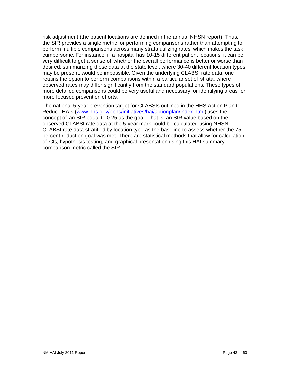risk adjustment (the patient locations are defined in the annual NHSN report). Thus, the SIR provides a single metric for performing comparisons rather than attempting to perform multiple comparisons across many strata utilizing rates, which makes the task cumbersome. For instance, if a hospital has 10-15 different patient locations, it can be very difficult to get a sense of whether the overall performance is better or worse than desired; summarizing these data at the state level, where 30-40 different location types may be present, would be impossible. Given the underlying CLABSI rate data, one retains the option to perform comparisons within a particular set of strata, where observed rates may differ significantly from the standard populations. These types of more detailed comparisons could be very useful and necessary for identifying areas for more focused prevention efforts.

The national 5-year prevention target for CLABSIs outlined in the HHS Action Plan to Reduce HAIs [\(www.hhs.gov/ophs/initiatives/hai/actionplan/index.html\)](http://www.hhs.gov/ophs/initiatives/hai/actionplan/index.html) uses the concept of an SIR equal to 0.25 as the goal. That is, an SIR value based on the observed CLABSI rate data at the 5-year mark could be calculated using NHSN CLABSI rate data stratified by location type as the baseline to assess whether the 75 percent reduction goal was met. There are statistical methods that allow for calculation of CIs, hypothesis testing, and graphical presentation using this HAI summary comparison metric called the SIR.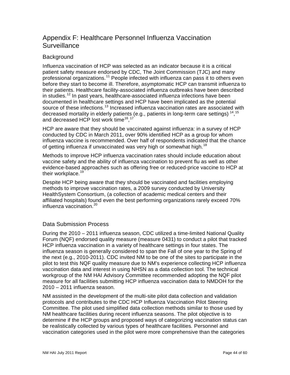# <span id="page-43-0"></span>Appendix F: Healthcare Personnel Influenza Vaccination **Surveillance**

## **Background**

Influenza vaccination of HCP was selected as an indicator because it is a critical patient safety measure endorsed by CDC, The Joint Commission (TJC) and many professional organizations.<sup>[11](#page-59-6)</sup> People infected with influenza can pass it to others even before they start to become ill. Therefore, asymptomatic HCP can transmit influenza to their patients. Healthcare facility-associated influenza outbreaks have been described in studies.<sup>[12](#page-59-7)</sup> In past years, healthcare-associated influenza infections have been documented in healthcare settings and HCP have been implicated as the potential source of these infections.<sup>[13](#page-59-8)</sup> Increased influenza vaccination rates are associated with decreased mortality in elderly patients (e.g., patients in long-term care settings) <sup>[14](#page-59-9)</sup>, <sup>[15](#page-59-10)</sup> and decreased HCP lost work time<sup>16</sup>,<sup>[17](#page-59-12)</sup>

HCP are aware that they should be vaccinated against influenza: in a survey of HCP conducted by CDC in March 2011, over 90% identified HCP as a group for whom influenza vaccine is recommended. Over half of respondents indicated that the chance of getting influenza if unvaccinated was very high or somewhat high.<sup>[18](#page-59-13)</sup>

Methods to improve HCP influenza vaccination rates should include education about vaccine safety and the ability of influenza vaccination to prevent flu as well as other evidence-based approaches such as offering free or reduced-price vaccine to HCP at their workplace.<sup>[19](#page-59-14)</sup>

Despite HCP being aware that they should be vaccinated and facilities employing methods to improve vaccination rates, a 2009 survey conducted by University HealthSystem Consortium, (a collection of academic medical centers and their affiliated hospitals) found even the best performing organizations rarely exceed 70% influenza vaccination.<sup>[20](#page-59-15)</sup>

## Data Submission Process

During the 2010 – 2011 influenza season, CDC utilized a time-limited National Quality Forum (NQF) endorsed quality measure (measure 0431) to conduct a pilot that tracked HCP influenza vaccination in a variety of healthcare settings in four states. The influenza season is generally considered to span the Fall of one year to the Spring of the next (e.g., 2010-2011). CDC invited NM to be one of the sites to participate in the pilot to test this NQF quality measure due to NM's experience collecting HCP influenza vaccination data and interest in using NHSN as a data collection tool. The technical workgroup of the NM HAI Advisory Committee recommended adopting the NQF pilot measure for all facilities submitting HCP influenza vaccination data to NMDOH for the 2010 – 2011 influenza season.

NM assisted in the development of the multi-site pilot data collection and validation protocols and contributes to the CDC HCP Influenza Vaccination Pilot Steering Committee. The pilot used simplified data collection methods similar to those used by NM healthcare facilities during recent influenza seasons. The pilot objective is to determine if the HCP groups and proposed ways of categorizing vaccination status can be realistically collected by various types of healthcare facilities*.* Personnel and vaccination categories used in the pilot were more comprehensive than the categories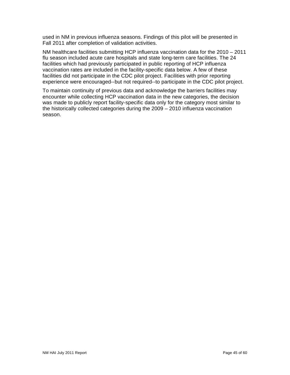used in NM in previous influenza seasons. Findings of this pilot will be presented in Fall 2011 after completion of validation activities.

NM healthcare facilities submitting HCP influenza vaccination data for the 2010 – 2011 flu season included acute care hospitals and state long-term care facilities. The 24 facilities which had previously participated in public reporting of HCP influenza vaccination rates are included in the facility-specific data below. A few of these facilities did not participate in the CDC pilot project. Facilities with prior reporting experience were encouraged--but not required--to participate in the CDC pilot project.

To maintain continuity of previous data and acknowledge the barriers facilities may encounter while collecting HCP vaccination data in the new categories, the decision was made to publicly report facility-specific data only for the category most similar to the historically collected categories during the 2009 – 2010 influenza vaccination season.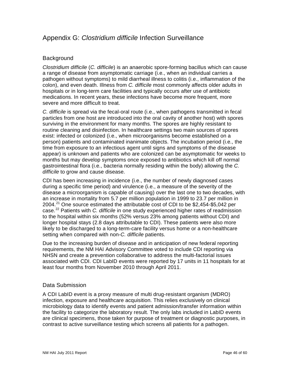# <span id="page-45-0"></span>Appendix G: *Clostridium difficile* Infection Surveillance

## **Background**

*Clostridium difficile* (*C. difficile*) is an anaerobic spore-forming bacillus which can cause a range of disease from asymptomatic carriage (i.e., when an individual carries a pathogen without symptoms) to mild diarrheal illness to colitis (i.e., inflammation of the colon), and even death. Illness from *C. difficile* most commonly affects older adults in hospitals or in long-term care facilities and typically occurs after use of antibiotic medications. In recent years, these infections have become more frequent, more severe and more difficult to treat.

*C. difficile* is spread via the fecal-oral route (i.e., when pathogens transmitted in fecal particles from one host are introduced into the oral cavity of another host) with spores surviving in the environment for many months. The spores are highly resistant to routine cleaning and disinfection. In healthcare settings two main sources of spores exist: infected or colonized (i.e., when microorganisms become established on a person) patients and contaminated inanimate objects. The incubation period (i.e., the time from exposure to an infectious agent until signs and symptoms of the disease appear) is unknown and patients who are colonized can be asymptomatic for weeks to months but may develop symptoms once exposed to antibiotics which kill off normal gastrointestinal flora (i.e., bacteria normally residing within the body) allowing the *C. difficile* to grow and cause disease.

CDI has been increasing in incidence (i.e., the number of newly diagnosed cases during a specific time period) and virulence (i.e., a measure of the severity of the disease a microorganism is capable of causing) over the last one to two decades, with an increase in mortality from 5.7 per million population in 1999 to 23.7 per million in 2004. [21](#page-59-16) One source estimated the attributable cost of CDI to be \$2,454-\$5,042 per case. [22](#page-59-17) Patients with *C. difficile* in one study experienced higher rates of readmission to the hospital within six months (52% versus 23% among patients without CDI) and longer hospital stays (2.8 days attributable to CDI). These patients were also more likely to be discharged to a long-term-care facility versus home or a non-healthcare setting when compared with non-*C. difficile* patients.

Due to the increasing burden of disease and in anticipation of new federal reporting requirements, the NM HAI Advisory Committee voted to include CDI reporting via NHSN and create a prevention collaborative to address the multi-factorial issues associated with CDI. CDI LabID events were reported by 17 units in 11 hospitals for at least four months from November 2010 through April 2011.

## Data Submission

A CDI LabID event is a proxy measure of multi drug-resistant organism (MDRO) infection, exposure and healthcare acquisition. This relies exclusively on clinical microbiology data to identify events and patient admission/transfer information within the facility to categorize the laboratory result. The only labs included in LabID events are clinical specimens, those taken for purpose of treatment or diagnostic purposes, in contrast to active surveillance testing which screens all patients for a pathogen.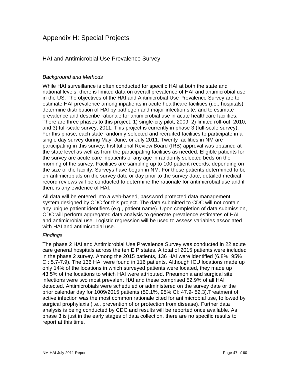## <span id="page-46-0"></span>Appendix H: Special Projects

## HAI and Antimicrobial Use Prevalence Survey

#### *Background and Methods*

While HAI surveillance is often conducted for specific HAI at both the state and national levels, there is limited data on overall prevalence of HAI and antimicrobial use in the US. The objectives of the HAI and Antimicrobial Use Prevalence Survey are to estimate HAI prevalence among inpatients in acute healthcare facilities (i.e., hospitals), determine distribution of HAI by pathogen and major infection site, and to estimate prevalence and describe rationale for antimicrobial use in acute healthcare facilities. There are three phases to this project: 1) single-city pilot, 2009; 2) limited roll-out, 2010; and 3) full-scale survey, 2011. This project is currently in phase 3 (full-scale survey). For this phase, each state randomly selected and recruited facilities to participate in a single day survey during May, June, or July 2011. Twenty facilities in NM are participating in this survey. Institutional Review Board (IRB) approval was obtained at the state level as well as from the participating facilities as needed. Eligible patients for the survey are acute care inpatients of any age in randomly selected beds on the morning of the survey. Facilities are sampling up to 100 patient records, depending on the size of the facility. Surveys have begun in NM. For those patients determined to be on antimicrobials on the survey date or day prior to the survey date, detailed medical record reviews will be conducted to determine the rationale for antimicrobial use and if there is any evidence of HAI.

All data will be entered into a web-based, password protected data management system designed by CDC for this project. The data submitted to CDC will not contain any unique patient identifiers (e.g., patient name). Upon completion of data submission, CDC will perform aggregated data analysis to generate prevalence estimates of HAI and antimicrobial use. Logistic regression will be used to assess variables associated with HAI and antimicrobial use.

#### *Findings*

The phase 2 HAI and Antimicrobial Use Prevalence Survey was conducted in 22 acute care general hospitals across the ten EIP states. A total of 2015 patients were included in the phase 2 survey. Among the 2015 patients, 136 HAI were identified (6.8%, 95% CI: 5.7-7.9). The 136 HAI were found in 116 patients. Although ICU locations made up only 14% of the locations in which surveyed patients were located, they made up 43.5% of the locations to which HAI were attributed. Pneumonia and surgical site infections were two most prevalent HAI and these comprised 52.9% of all HAI detected. Antimicrobials were scheduled or administered on the survey date or the prior calendar day for 1009/2015 patients (50.1%, 95% CI: 47.9- 52.3).Treatment of active infection was the most common rationale cited for antimicrobial use, followed by surgical prophylaxis (i.e., prevention of or protection from disease). Further data analysis is being conducted by CDC and results will be reported once available. As phase 3 is just in the early stages of data collection, there are no specific results to report at this time.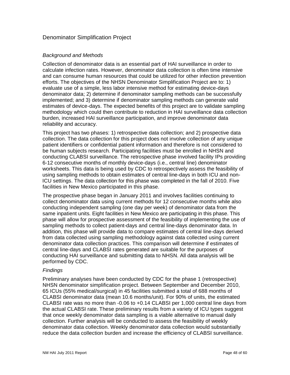## Denominator Simplification Project

#### *Background and Methods*

Collection of denominator data is an essential part of HAI surveillance in order to calculate infection rates. However, denominator data collection is often time intensive and can consume human resources that could be utilized for other infection prevention efforts. The objectives of the NHSN Denominator Simplification Project are to: 1) evaluate use of a simple, less labor intensive method for estimating device-days denominator data; 2) determine if denominator sampling methods can be successfully implemented; and 3) determine if denominator sampling methods can generate valid estimates of device-days. The expected benefits of this project are to validate sampling methodology which could then contribute to reduction in HAI surveillance data collection burden, increased HAI surveillance participation, and improve denominator data reliability and accuracy.

This project has two phases: 1) retrospective data collection; and 2) prospective data collection. The data collection for this project does not involve collection of any unique patient identifiers or confidential patient information and therefore is not considered to be human subjects research. Participating facilities must be enrolled in NHSN and conducting CLABSI surveillance. The retrospective phase involved facility IPs providing 6-12 consecutive months of monthly device-days (i.e., central line) denominator worksheets. This data is being used by CDC to retrospectively assess the feasibility of using sampling methods to obtain estimates of central line-days in both ICU and non-ICU settings. The data collection for this phase was completed in the fall of 2010. Five facilities in New Mexico participated in this phase.

The prospective phase began in January 2011 and involves facilities continuing to collect denominator data using current methods for 12 consecutive months while also conducting independent sampling (one day per week) of denominator data from the same inpatient units. Eight facilities in New Mexico are participating in this phase. This phase will allow for prospective assessment of the feasibility of implementing the use of sampling methods to collect patient-days and central line-days denominator data. In addition, this phase will provide data to compare estimates of central line-days derived from data collected using sampling methodology against data collected using current denominator data collection practices. This comparison will determine if estimates of central line-days and CLABSI rates generated are suitable for the purposes of conducting HAI surveillance and submitting data to NHSN. All data analysis will be performed by CDC.

#### *Findings*

Preliminary analyses have been conducted by CDC for the phase 1 (retrospective) NHSN denominator simplification project. Between September and December 2010, 65 ICUs (55% medical/surgical) in 45 facilities submitted a total of 688 months of CLABSI denominator data (mean 10.6 months/unit). For 90% of units, the estimated CLABSI rate was no more than -0.06 to +0.14 CLABSI per 1,000 central line days from the actual CLABSI rate. These preliminary results from a variety of ICU types suggest that once weekly denominator data sampling is a viable alternative to manual daily collection. Further analysis will be conducted to assess the feasibility of weekly denominator data collection. Weekly denominator data collection would substantially reduce the data collection burden and increase the efficiency of CLABSI surveillance.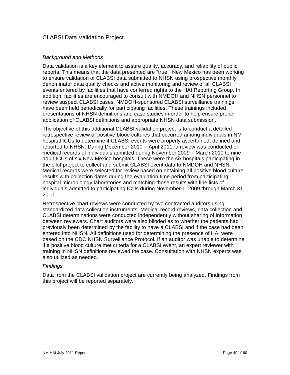## CLABSI Data Validation Project

#### *Background and Methods*

Data validation is a key element to assure quality, accuracy, and reliability of public reports. This means that the data presented are "true." New Mexico has been working to ensure validation of CLABSI data submitted to NHSN using prospective monthly denominator data quality checks and active monitoring and review of all CLABSI events entered by facilities that have conferred rights to the HAI Reporting Group. In addition, facilities are encouraged to consult with NMDOH and NHSN personnel to review suspect CLABSI cases. NMDOH-sponsored CLABSI surveillance trainings have been held periodically for participating facilities. These trainings included presentations of NHSN definitions and case studies in order to help ensure proper application of CLABSI definitions and appropriate NHSN data submission.

The objective of this additional CLABSI validation project is to conduct a detailed retrospective review of positive blood cultures that occurred among individuals in NM hospital ICUs to determine if CLABSI events were properly ascertained, defined and reported to NHSN. During December 2010 – April 2011, a review was conducted of medical records of individuals admitted during November 2009 – March 2010 to nine adult ICUs of six New Mexico hospitals. These were the six hospitals participating in the pilot project to collect and submit CLABSI event data to NMDOH and NHSN. Medical records were selected for review based on obtaining all positive blood culture results with collection dates during the evaluation time period from participating hospital microbiology laboratories and matching those results with line lists of individuals admitted to participating ICUs during November 1, 2009 through March 31, 2010.

Retrospective chart reviews were conducted by two contracted auditors using standardized data collection instruments. Medical record reviews, data collection and CLABSI determinations were conducted independently without sharing of information between reviewers. Chart auditors were also blinded as to whether the patients had previously been determined by the facility to have a CLABSI and if the case had been entered into NHSN. All definitions used for determining the presence of HAI were based on the CDC NHSN Surveillance Protocol. If an auditor was unable to determine if a positive blood culture met criteria for a CLABSI event, an expert reviewer with training in NHSN definitions reviewed the case. Consultation with NHSN experts was also utilized as needed.

#### *Findings*

Data from the CLABSI validation project are currently being analyzed. Findings from this project will be reported separately.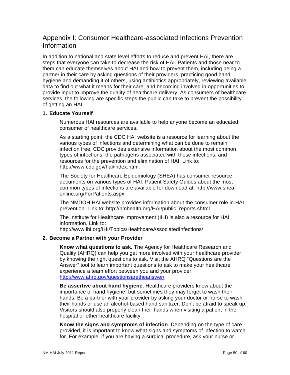# <span id="page-49-0"></span>Appendix I: Consumer Healthcare-associated Infections Prevention Information

In addition to national and state level efforts to reduce and prevent HAI, there are steps that everyone can take to decrease the risk of HAI. Patients and those near to them can educate themselves about HAI and how to prevent them, including being a partner in their care by asking questions of their providers, practicing good hand hygiene and demanding it of others, using antibiotics appropriately, reviewing available data to find out what it means for their care, and becoming involved in opportunities to provide input to improve the quality of healthcare delivery. As consumers of healthcare services, the following are specific steps the public can take to prevent the possibility of getting an HAI.

#### **1. Educate Yourself**

Numerous HAI resources are available to help anyone become an educated consumer of healthcare services.

As a starting point, the CDC HAI website is a resource for learning about the various types of infections and determining what can be done to remain infection free. CDC provides extensive information about the most common types of infections, the pathogens associated with those infections, and resources for the prevention and elimination of HAI. Link to: http://www.cdc.gov/hai/index.html.

The Society for Healthcare Epidemiology (SHEA) has consumer resource documents on various types of HAI. Patient Safety Guides about the most common types of infections are available for download at: http://www.sheaonline.org/ForPatients.aspx.

The NMDOH HAI website provides information about the consumer role in HAI prevention. Link to: http://nmhealth.org/HAI/public\_reports.shtml

The Institute for Healthcare Improvement (IHI) is also a resource for HAI information. Link to:

http://www.ihi.org/IHI/Topics/HealthcareAssociatedInfections/

## **2. Become a Partner with your Provider**

**Know what questions to ask.** The Agency for Healthcare Research and Quality (AHRQ) can help you get more involved with your healthcare provider by knowing the right questions to ask. Visit the AHRQ "Questions are the Answer" tool to learn important questions to ask to make your healthcare experience a team effort between you and your provider. <http://www.ahrq.gov/questionsaretheanswer/>

**Be assertive about hand hygiene.** Healthcare providers know about the importance of hand hygiene, but sometimes they may forget to wash their hands. Be a partner with your provider by asking your doctor or nurse to wash their hands or use an alcohol-based hand sanitizer. Don't be afraid to speak up. Visitors should also properly clean their hands when visiting a patient in the hospital or other healthcare facility.

**Know the signs and symptoms of infection**. Depending on the type of care provided, it is important to know what signs and symptoms of infection to watch for. For example, if you are having a surgical procedure, ask your nurse or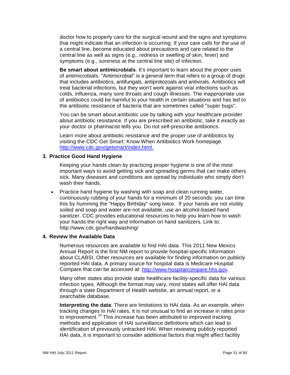doctor how to properly care for the surgical wound and the signs and symptoms that might indicate that an infection is occurring. If your care calls for the use of a central line, become educated about precautions and care related to the central line as well as signs (e.g., redness or swelling of skin, fever) and symptoms (e.g., soreness at the central line site) of infection.

**Be smart about antimicrobials**. It's important to learn about the proper uses of antimicrobials. "Antimicrobial" is a general term that refers to a group of drugs that includes antibiotics, antifungals, antiprotozoals and antivirals. Antibiotics will treat bacterial infections, but they won't work against viral infections such as colds, influenza, many sore throats and cough illnesses. The inappropriate use of antibiotics could be harmful to your health in certain situations and has led to the antibiotic resistance of bacteria that are sometimes called "super bugs".

You can be smart about antibiotic use by talking with your healthcare provider about antibiotic resistance. If you are prescribed an antibiotic, take it exactly as your doctor or pharmacist tells you. Do not self-prescribe antibiotics.

Learn more about antibiotic resistance and the proper use of antibiotics by visiting the CDC Get Smart: Know When Antibiotics Work homepage. [http://www.cdc.gov/getsmart/index.html.](http://www.cdc.gov/getsmart/index.html)

#### **3. Practice Good Hand Hygiene**

Keeping your hands clean by practicing proper hygiene is one of the most important ways to avoid getting sick and spreading germs that can make others sick. Many diseases and conditions are spread by individuals who simply don't wash their hands.

• Practice hand hygiene by washing with soap and clean running water, continuously rubbing of your hands for a minimum of 20 seconds: you can time this by humming the "Happy Birthday" song twice. If your hands are not visibly soiled and soap and water are not available, use an alcohol-based hand sanitizer. CDC provides educational resources to help you learn how to wash your hands the right way and information on hand sanitizers. Link to: http://www.cdc.gov/handwashing/

#### **4. Review the Available Data**

Numerous resources are available to find HAI data. This 2011 New Mexico Annual Report is the first NM report to provide hospital-specific information about CLABSI. Other resources are available for finding information on publicly reported HAI data. A primary source for hospital data is Medicare Hospital Compare that can be accessed at: [http://www.hospitalcompare.hhs.gov.](http://www.hospitalcompare.hhs.gov/)

Many other states also provide state healthcare facility-specific data for various infection types. Although the format may vary, most states will offer HAI data through a state Department of Health website, an annual report, or a searchable database.

**Interpreting the data**: There are limitations to HAI data. As an example, when tracking changes in HAI rates, it is not unusual to find an increase in rates prior to improvement.<sup>[23](#page-59-18)</sup> This increase has been attributed to improved tracking methods and application of HAI surveillance definitions which can lead to identification of previously untracked HAI. When reviewing publicly reported HAI data, it is important to consider additional factors that might affect facility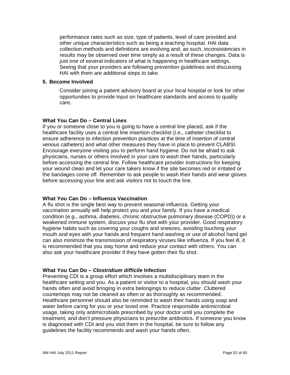performance rates such as size, type of patients, level of care provided and other unique characteristics such as being a teaching hospital. HAI data collection methods and definitions are evolving and, as such, inconsistencies in results may be observed over time simply as a result of these changes. Data is just one of several indicators of what is happening in healthcare settings. Seeing that your providers are following prevention guidelines and discussing HAI with them are additional steps to take.

#### **5. Become Involved**

Consider joining a patient advisory board at your local hospital or look for other opportunities to provide input on healthcare standards and access to quality care.

#### **What You Can Do – Central Lines**

If you or someone close to you is going to have a central line placed, ask if the healthcare facility uses a central line insertion checklist (i.e., catheter checklist to ensure adherence to infection prevention practices at the time of insertion of central venous catheters) and what other measures they have in place to prevent CLABSI. Encourage everyone visiting you to perform hand hygiene. Do not be afraid to ask physicians, nurses or others involved in your care to wash their hands, particularly before accessing the central line. Follow healthcare provider instructions for keeping your wound clean and let your care takers know if the site becomes red or irritated or the bandages come off. Remember to ask people to wash their hands and wear gloves before accessing your line and ask visitors not to touch the line.

#### **What You Can Do – Influenza Vaccination**

A flu shot is the single best way to prevent seasonal influenza. Getting your vaccination annually will help protect you and your family. If you have a medical condition (e.g., asthma, diabetes, chronic obstructive pulmonary disease (COPD)) or a weakened immune system, discuss your flu shot with your provider. Good respiratory hygiene habits such as covering your coughs and sneezes, avoiding touching your mouth and eyes with your hands and frequent hand washing or use of alcohol hand gel can also minimize the transmission of respiratory viruses like influenza. If you feel ill, it is recommended that you stay home and reduce your contact with others. You can also ask your healthcare provider if they have gotten their flu shot.

#### **What You Can Do –** *Clostridium difficile* **Infection**

Preventing CDI is a group effort which involves a multidisciplinary team in the healthcare setting and you. As a patient or visitor to a hospital, you should wash your hands often and avoid bringing in extra belongings to reduce clutter. Cluttered countertops may not be cleaned as often or as thoroughly as recommended. Healthcare personnel should also be reminded to wash their hands using soap and water before caring for you or your loved one. Practice responsible antimicrobial usage, taking only antimicrobials prescribed by your doctor until you complete the treatment, and don't pressure physicians to prescribe antibiotics. If someone you know is diagnosed with CDI and you visit them in the hospital, be sure to follow any guidelines the facility recommends and wash your hands often.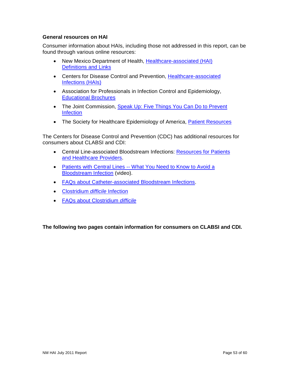### **General resources on HAI**

Consumer information about HAIs, including those not addressed in this report, can be found through various online resources:

- New Mexico Department of Health, Healthcare-associated (HAI) [Definitions and Links](http://nmhealth.org/HAI/ResourcesLinks.shtml)
- Centers for Disease Control and Prevention, [Healthcare-associated](http://nmhealth.org/HAI/ResourcesLinks.shtml)  [Infections \(HAIs\)](http://nmhealth.org/HAI/ResourcesLinks.shtml)
- Association for Professionals in Infection Control and Epidemiology, [Educational Brochures](http://www.apic.org/AM/Template.cfm?Section=Education_Resources&Template=/TaggedPage/TaggedPageDisplay.cfm&TPLID=91&ContentID=8738)
- The Joint Commission, Speak Up: Five Things You Can Do to Prevent **[Infection](http://www.jointcommission.org/Speak_Up__Five_Things_You_Can_Do_To_Prevent_Infection/)**
- The Society for Healthcare Epidemiology of America, [Patient Resources](http://www.shea-online.org/ForPatients.aspx)

The Centers for Disease Control and Prevention (CDC) has additional resources for consumers about CLABSI and CDI:

- Central Line-associated Bloodstream Infections: [Resources for Patients](http://www.cdc.gov/HAI/bsi/CLABSI-resources.html)  [and Healthcare Providers.](http://www.cdc.gov/HAI/bsi/CLABSI-resources.html)
- Patients with Central Lines -- [What You Need to Know to Avoid a](http://www2c.cdc.gov/podcasts/player.asp?f=5692974)  [Bloodstream Infection](http://www2c.cdc.gov/podcasts/player.asp?f=5692974) (video).
- [FAQs about Catheter-associated Bloodstream Infections.](http://www.cdc.gov/ncidod/dhqp/pdf/guidelines/BSI_tagged.pdf)
- [Clostridium](http://www.cdc.gov/HAI/organisms/cdiff/Cdiff_infect.html) *difficile* Infection
- [FAQs about Clostridium](http://www.cdc.gov/ncidod/dhqp/pdf/guidelines/Cdif_largertext.pdf) *difficile*

**The following two pages contain information for consumers on CLABSI and CDI.**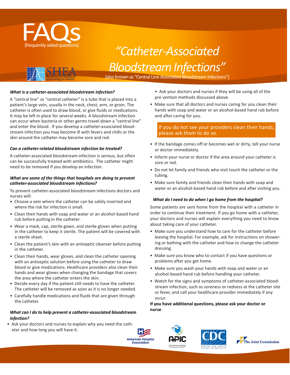

# (frequently asked questions) *"Catheter-Associated BloodstreamInfections"*



(also known as "Central Line-Associated Bloodstream Infections")

#### *What is a catheter-associated bloodstream infection?*

A "central line" or "central catheter" is a tube that is placed into a patient's large vein, usually in the neck, chest, arm, or groin. The catheter is often used to draw blood, or give fluids or medications. It may be left in place for several weeks. A bloodstream infection can occur when bacteria or other germs travel down a "central line" and enter the blood. If you develop a catheter-associated bloodstream infection you may become ill with fevers and chills or the skin around the catheter may become sore and red.

#### *Can a catheter-related bloodstream infection be treated?*

A catheter-associated bloodstream infection is serious, but often can be successfully treated with antibiotics. The catheter might need to be removed if you develop an infection.

#### *What are some of the things that hospitals are doing to prevent catheter-associated bloodstream infections?*

To prevent catheter-associated bloodstream infections doctors and nurses will:

- Choose a vein where the catheter can be safely inserted and where the risk for infection is small.
- Clean their hands with soap and water or an alcohol-based hand rub before putting in the catheter.
- Wear a mask, cap, sterile gown, and sterile gloves when putting in the catheter to keep it sterile. The patient will be covered with a sterile sheet.
- Clean the patient's skin with an antiseptic cleanser before putting in the catheter.
- Clean their hands, wear gloves, and clean the catheter opening with an antiseptic solution before using the catheter to draw blood or give medications. Healthcare providers also clean their hands and wear gloves when changing the bandage that covers the area where the catheter enters the skin.
- Decide every day if the patient still needs to have the catheter. The catheter will be removed as soon as it is no longer needed.
- Carefully handle medications and fluids that are given through the catheter.

#### *What can I do to help prevent a catheter-associated bloodstream infection?*

• Ask your doctors and nurses to explain why you need the catheter and how long you will have it.

- Ask your doctors and nurses if they will be using all of the pre vention methods discussed above.
- Make sure that all doctors and nurses caring for you clean their hands with soap and water or an alcohol-based hand rub before and after caring for you.

#### If you do not see your providers clean their hands, please ask them to do so.

- If the bandage comes off or becomes wet or dirty, tell your nurse or doctor immediately.
- Inform your nurse or doctor if the area around your catheter is sore or red.
- Do not let family and friends who visit touch the catheter or the tubing.
- Make sure family and friends clean their hands with soap and water or an alcohol-based hand rub before and after visiting you.

#### *What do I need to do when I go home from the hospital?*

Some patients are sent home from the hospital with a catheter in order to continue their treatment. If you go home with a catheter, your doctors and nurses will explain everything you need to know about taking care of your catheter.

- Make sure you understand how to care for the catheter before leaving the hospital. For example, ask for instructions on showering or bathing with the catheter and how to change the catheter dressing.
- Make sure you know who to contact if you have questions or problems after you get home.
- Make sure you wash your hands with soap and water or an alcohol-based hand rub before handling your catheter.
- Watch for the signs and symptoms of catheter-associated bloodstream infection, such as soreness or redness at the catheter site or fever, and call your healthcare provider immediately if any occur.

#### **If you have additional questions, please ask your doctor or nurse**.



NM HAI June 2010 Report Draft Page 54 of 60 7/27/2011

**American Hospital** 

**Association** 



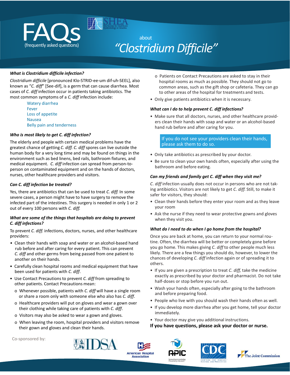

# *"ClostridiumDifficile"*

#### *What is Clostridium difficile infection?*

*Clostridium difficile* [pronounced Klo-STRID-ee-um dif-uh-SEEL], also known as "*C. diff*" [See-dif], is a germ that can cause diarrhea. Most cases of *C. diff* infection occur in patients taking antibiotics. The most common symptoms of a *C. diff* infection include:

> Watery diarrhea Fever Loss of appetite Nausea Belly pain and tenderness

#### *Who is most likely to get C. diff infection?*

The elderly and people with certain medical problems have the greatest chance of getting *C. diff. C. diff* spores can live outside the human body for a very long time and may be found on things in the environment such as bed linens, bed rails, bathroom fixtures, and medical equipment. *C. diff* infection can spread from person-toperson on contaminated equipment and on the hands of doctors, nurses, other healthcare providers and visitors.

#### *Can C. diff infection be treated?*

Yes, there are antibiotics that can be used to treat *C. diff.* In some severe cases, a person might have to have surgery to remove the infected part of the intestines. This surgery is needed in only 1 or 2 out of every 100 persons with *C. diff.*

#### *What are some of the things that hospitals are doing to prevent C. diff infections?*

To prevent *C. diff.* infections, doctors, nurses, and other healthcare providers:

- Clean their hands with soap and water or an alcohol-based hand rub before and after caring for every patient. This can prevent *C. diff* and other germs from being passed from one patient to another on their hands.
- Carefully clean hospital rooms and medical equipment that have been used for patients with *C. diff*.
- Use Contact Precautionsto prevent *C. diff* from spreading to other patients. Contact Precautions mean:
	- o Whenever possible, patients with *C. diff* will have a single room or share a room only with someone else who also has *C. diff*.
	- o Healthcare providers will put on gloves and wear a gown over their clothing while taking care of patients with *C. diff*.
	- o Visitors may also be asked to wear a gown and gloves.
	- o When leaving the room, hospital providers and visitors remove their gown and gloves and clean their hands.
- o Patients on Contact Precautions are asked to stay in their hospital rooms as much as possible. They should not go to common areas, such as the gift shop or cafeteria. They can go to other areas of the hospital for treatments and tests.
- Only give patients antibiotics when it is necessary.

#### *What can I do to help prevent C. diff infections?*

• Make sure that all doctors, nurses, and other healthcare providers clean their hands with soap and water or an alcohol-based hand rub before and after caring for you.

If you do not see your providers clean their hands, please ask them to do so.

- Only take antibiotics as prescribed by your doctor.
- Be sure to clean your own hands often, especially after using the bathroom and before eating.

#### *Can my friends and family get C. diff when they visit me?*

*C. diff* infection usually does not occur in persons who are not taking antibiotics. Visitors are not likely to get *C. diff*. Still, to make it safer for visitors, they should:

- Clean their hands before they enter your room and as they leave your room
- Ask the nurse if they need to wear protective gowns and gloves when they visit you.

#### *What do I need to do when I go home from the hospital?*

Once you are back at home, you can return to your normal routine. Often, the diarrhea will be better or completely gone before you go home. This makes giving *C. diff* to other people much less likely. There are a few things you should do, however, to lower the chances of developing *C. diff* infection again or of spreading it to others.

- If you are given a prescription to treat *C. diff,* take the medicine exactly as prescribed by your doctor and pharmacist. Do not take half-doses or stop before you run out.
- Wash your hands often, especially after going to the bathroom and before preparing food.
- People who live with you should wash their hands often as well.
- If you develop more diarrhea after you get home, tell your doctor immediately.
- Your doctor may give you additional instructions.
- **If you have questions, please ask your doctor or nurse.**

Co-sponsored by:









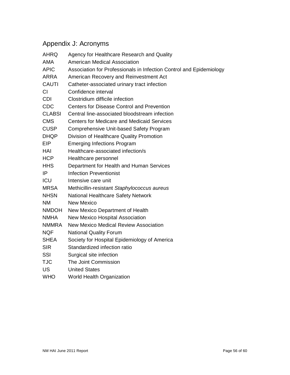# <span id="page-55-0"></span>Appendix J: Acronyms

| <b>AHRQ</b>   | Agency for Healthcare Research and Quality                          |
|---------------|---------------------------------------------------------------------|
| AMA           | <b>American Medical Association</b>                                 |
| <b>APIC</b>   | Association for Professionals in Infection Control and Epidemiology |
| ARRA          | American Recovery and Reinvestment Act                              |
| <b>CAUTI</b>  | Catheter-associated urinary tract infection                         |
| <b>CI</b>     | Confidence interval                                                 |
| <b>CDI</b>    | Clostridium difficile infection                                     |
| <b>CDC</b>    | <b>Centers for Disease Control and Prevention</b>                   |
| <b>CLABSI</b> | Central line-associated bloodstream infection                       |
| <b>CMS</b>    | <b>Centers for Medicare and Medicaid Services</b>                   |
| <b>CUSP</b>   | Comprehensive Unit-based Safety Program                             |
| <b>DHQP</b>   | Division of Healthcare Quality Promotion                            |
| <b>EIP</b>    | <b>Emerging Infections Program</b>                                  |
| <b>HAI</b>    | Healthcare-associated infection/s                                   |
| <b>HCP</b>    | Healthcare personnel                                                |
| <b>HHS</b>    | Department for Health and Human Services                            |
| IP            | <b>Infection Preventionist</b>                                      |
| <b>ICU</b>    | Intensive care unit                                                 |
| <b>MRSA</b>   | Methicillin-resistant Staphylococcus aureus                         |
| <b>NHSN</b>   | National Healthcare Safety Network                                  |
| <b>NM</b>     | <b>New Mexico</b>                                                   |
| <b>NMDOH</b>  | New Mexico Department of Health                                     |
| <b>NMHA</b>   | <b>New Mexico Hospital Association</b>                              |
| <b>NMMRA</b>  | <b>New Mexico Medical Review Association</b>                        |
| <b>NQF</b>    | <b>National Quality Forum</b>                                       |
| <b>SHEA</b>   | Society for Hospital Epidemiology of America                        |
| <b>SIR</b>    | Standardized infection ratio                                        |
| <b>SSI</b>    | Surgical site infection                                             |
| <b>TJC</b>    | The Joint Commission                                                |
| <b>US</b>     | <b>United States</b>                                                |
| <b>WHO</b>    | <b>World Health Organization</b>                                    |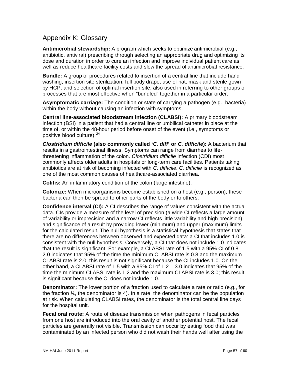## <span id="page-56-0"></span>Appendix K: Glossary

**Antimicrobial stewardship:** A program which seeks to optimize antimicrobial (e.g., antibiotic, antiviral) prescribing through selecting an appropriate drug and optimizing its dose and duration in order to cure an infection and improve individual patient care as well as reduce healthcare facility costs and slow the spread of antimicrobial resistance.

**Bundle:** A group of procedures related to insertion of a central line that include hand washing, insertion site sterilization, full body drape, use of hat, mask and sterile gown by HCP, and selection of optimal insertion site; also used in referring to other groups of processes that are most effective when "bundled" together in a particular order.

**Asymptomatic carriage:** The condition or state of carrying a pathogen (e.g., bacteria) within the body without causing an infection with symptoms.

**Central line-associated bloodstream infection (CLABSI):** A primary bloodstream infection (BSI) in a patient that had a central line or umbilical catheter in place at the time of, or within the 48-hour period before onset of the event (i.e., symptoms or positive blood culture).  $24$ 

*Clostridium difficile* **(also commonly called '***C. diff***' or** *C. difficile***):** A bacterium that results in a gastrointestinal illness. Symptoms can range from diarrhea to lifethreatening inflammation of the colon. *Clostridium difficile* infection (CDI) most commonly affects older adults in hospitals or long-term care facilities. Patients taking antibiotics are at risk of becoming infected with *C. difficile*. *C. difficile* is recognized as one of the most common causes of healthcare-associated diarrhea.

**Colitis:** An inflammatory condition of the colon (large intestine).

**Colonize:** When microorganisms become established on a host (e.g., person); these bacteria can then be spread to other parts of the body or to others.

**Confidence interval (CI):** A CI describes the range of values consistent with the actual data. CIs provide a measure of the level of precision (a wide CI reflects a large amount of variability or imprecision and a narrow CI reflects little variability and high precision) and significance of a result by providing lower (minimum) and upper (maximum) limits for the calculated result. The null hypothesis is a statistical hypothesis that states that there are no differences between observed and expected data: a CI that includes 1.0 is consistent with the null hypothesis. Conversely, a CI that does not include 1.0 indicates that the result is significant. For example, a CLABSI rate of 1.5 with a 95% CI of 0.8 – 2.0 indicates that 95% of the time the minimum CLABSI rate is 0.8 and the maximum CLABSI rate is 2.0; this result is not significant because the CI includes 1.0. On the other hand, a CLABSI rate of 1.5 with a 95% CI of  $1.2 - 3.0$  indicates that 95% of the time the minimum CLABSI rate is 1.2 and the maximum CLABSI rate is 3.0; this result is significant because the CI does not include 1.0.

**Denominator:** The lower portion of a fraction used to calculate a rate or ratio (e.g., for the fraction  $\frac{3}{4}$ , the denominator is 4). In a rate, the denominator can be the population at risk. When calculating CLABSI rates, the denominator is the total central line days for the hospital unit.

**Fecal oral route:** A route of disease transmission when pathogens in fecal particles from one host are introduced into the oral cavity of another potential host. The fecal particles are generally not visible. Transmission can occur by eating food that was contaminated by an infected person who did not wash their hands well after using the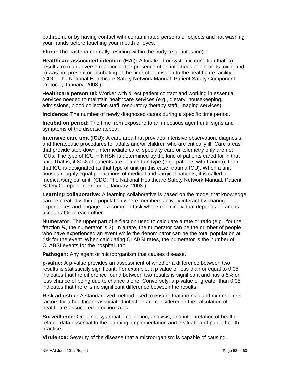bathroom, or by having contact with contaminated persons or objects and not washing your hands before touching your mouth or eyes.

**Flora:** The bacteria normally residing within the body (e.g., intestine).

**Healthcare-associated infection (HAI):** A localized or systemic condition that: a) results from an adverse reaction to the presence of an infectious agent or its toxin; and b) was not present or incubating at the time of admission to the healthcare facility. (CDC, The National Healthcare Safety Network Manual: Patient Safety Component Protocol, January, 2008.)

**Healthcare personnel:** Worker with direct patient contact and working in essential services needed to maintain healthcare services (e.g., dietary, housekeeping, admissions, blood collection staff, respiratory therapy staff, imaging services).

**Incidence:** The number of newly diagnosed cases during a specific time period.

**Incubation period:** The time from exposure to an infectious agent until signs and symptoms of the disease appear.

**Intensive care unit (ICU):** A care area that provides intensive observation, diagnosis, and therapeutic procedures for adults and/or children who are critically ill. Care areas that provide step-down, intermediate care, specialty care or telemetry only are not ICUs. The type of ICU in NHSN is determined by the kind of patients cared for in that unit. That is, if 80% of patients are of a certain type (e.g., patients with trauma), then that ICU is designated as that type of unit (in this case, trauma ICU). When a unit houses roughly equal populations of medical and surgical patients, it is called a medical/surgical unit. (CDC, The National Healthcare Safety Network Manual: Patient Safety Component Protocol, January, 2008.)

**Learning collaborative:** A learning collaborative is based on the model that knowledge can be created within a population where members actively interact by sharing experiences and engage in a common task where each individual depends on and is accountable to each other.

**Numerator:** The upper part of a fraction used to calculate a rate or ratio (e.g., for the fraction ¾, the numerator is 3). In a rate, the numerator can be the number of people who have experienced an event while the denominator can be the total population at risk for the event. When calculating CLABSI rates, the numerator is the number of CLABSI events for the hospital unit.

**Pathogen:** Any agent or microorganism that causes disease.

**p-value:** A p-value provides an assessment of whether a difference between two results is statistically significant. For example, a p value of less than or equal to 0.05 indicates that the difference found between two results is significant and has a 5% or less chance of being due to chance alone. Conversely, a p-value of greater than 0.05 indicates that there is no significant difference between the results.

**Risk adjusted:** A standardized method used to ensure that intrinsic and extrinsic risk factors for a healthcare-associated infection are considered in the calculation of healthcare-associated infection rates.

**Surveillance:** Ongoing, systematic collection, analysis, and interpretation of healthrelated data essential to the planning, implementation and evaluation of public health practice.

**Virulence:** Severity of the disease that a microorganism is capable of causing.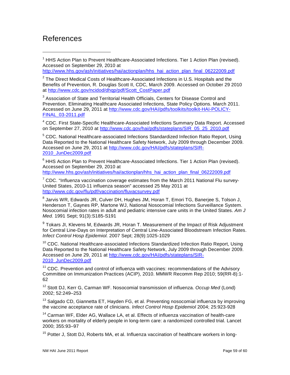# <span id="page-58-0"></span>References

 $\ddot{\phantom{a}}$ 

<span id="page-58-1"></span> $1$  HHS Action Plan to Prevent Healthcare-Associated Infections. Tier 1 Action Plan (revised). Accessed on September 29, 2010 at

[http://www.hhs.gov/ash/initiatives/hai/actionplan/hhs\\_hai\\_action\\_plan\\_final\\_06222009.pdf](http://www.hhs.gov/ash/initiatives/hai/actionplan/hhs_hai_action_plan_final_06222009.pdf)

<span id="page-58-2"></span> $2$  The Direct Medical Costs of Healthcare-Associated Infections in U.S. Hospitals and the Benefits of Prevention, R. Douglas Scott II, CDC, March 2009. Accessed on October 29 2010 at [http://www.cdc.gov/ncidod/dhqp/pdf/Scott\\_CostPaper.pdf](http://www.cdc.gov/ncidod/dhqp/pdf/Scott_CostPaper.pdf)

<span id="page-58-3"></span> $3$  Association of State and Territorial Health Officials, Centers for Disease Control and Prevention. Eliminating Healthcare Associated Infections, State Policy Options. March 2011. Accessed on June 29, 2011 at [http://www.cdc.gov/HAI/pdfs/toolkits/toolkit-HAI-POLICY-](http://www.cdc.gov/HAI/pdfs/toolkits/toolkit-HAI-POLICY-FINAL_03-2011.pdf)[FINAL\\_03-2011.pdf](http://www.cdc.gov/HAI/pdfs/toolkits/toolkit-HAI-POLICY-FINAL_03-2011.pdf)

<span id="page-58-4"></span><sup>4</sup> CDC. First State-Specific Healthcare-Associated Infections Summary Data Report. Accessed on September 27, 2010 at [http://www.cdc.gov/hai/pdfs/stateplans/SIR\\_05\\_25\\_2010.pdf](http://www.cdc.gov/hai/pdfs/stateplans/SIR_05_25_2010.pdf)

<sup>5</sup> CDC. National Healthcare-associated Infections Standardized Infection Ratio Report, Using Data Reported to the National Healthcare Safety Network, July 2009 through December 2009. Accessed on June 29, 2011 at [http://www.cdc.gov/HAI/pdfs/stateplans/SIR-](http://www.cdc.gov/HAI/pdfs/stateplans/SIR-2010_JunDec2009.pdf)[2010\\_JunDec2009.pdf](http://www.cdc.gov/HAI/pdfs/stateplans/SIR-2010_JunDec2009.pdf)

<sup>6</sup> HHS Action Plan to Prevent Healthcare-Associated Infections. Tier 1 Action Plan (revised). Accessed on September 29, 2010 at

[http://www.hhs.gov/ash/initiatives/hai/actionplan/hhs\\_hai\\_action\\_plan\\_final\\_06222009.pdf](http://www.hhs.gov/ash/initiatives/hai/actionplan/hhs_hai_action_plan_final_06222009.pdf)

 $7$  CDC. "Influenza vaccination coverage estimates from the March 2011 National Flu survey-United States, 2010-11 influenza season" accessed 25 May 2011 at [http://www.cdc.gov/flu/pdf/vaccination/fluvacsurvey.pdf](http://www.cdc.gov/flu/pdf/vaccination/fluvacsurvey.pdf.)

<sup>8</sup> Jarvis WR, Edwards JR, Culver DH, Hughes JM, Horan T, Emori TG, Banerjee S, Tolson J, Henderson T, Gaynes RP, Martone WJ, National Nosocomial Infections Surveillance System. Nosocomial infection rates in adult and pediatric intensive care units in the United States. *Am J Med.* 1991 Sept; 91(3):S185-S191

 $9$  Tokars JI, Klevens M, Edwards JR, Horan T. Measurement of the Impact of Risk Adjustment for Central Line-Days on Interpretation of Central Line-Associated Bloodstream Infection Rates. *Infect Control Hosp Epidemiol.* 2007 Sept; 28(9):1025-1029

<sup>10</sup> CDC. National Healthcare-associated Infections Standardized Infection Ratio Report, Using Data Reported to the National Healthcare Safety Network, July 2009 through December 2009. Accessed on June 29, 2011 at [http://www.cdc.gov/HAI/pdfs/stateplans/SIR-](http://www.cdc.gov/HAI/pdfs/stateplans/SIR-2010_JunDec2009.pdf)[2010\\_JunDec2009.pdf](http://www.cdc.gov/HAI/pdfs/stateplans/SIR-2010_JunDec2009.pdf)

 $11$  CDC. Prevention and control of influenza with vaccines: recommendations of the Advisory Committee on Immunization Practices (ACIP), 2010. MMWR Recomm Rep 2010; 59(RR-8):1- 62

<sup>12</sup> Stott DJ, Kerr G, Carman WF. Nosocomial transmission of influenza. *Occup Med* (Lond) 2002; 52:249–253

<sup>13</sup> Salgado CD, Giannetta ET, Hayden FG, et al. Preventing nosocomial influenza by improving the vaccine acceptance rate of clinicians. *Infect Control Hosp Epidemiol* 2004; 25:923-928

<sup>14</sup> Carman WF, Elder AG, Wallace LA, et al. Effects of influenza vaccination of health-care workers on mortality of elderly people in long-term care: a randomized controlled trial. Lancet 2000; 355:93–97

<sup>15</sup> Potter J, Stott DJ, Roberts MA, et al. Influenza vaccination of healthcare workers in long-